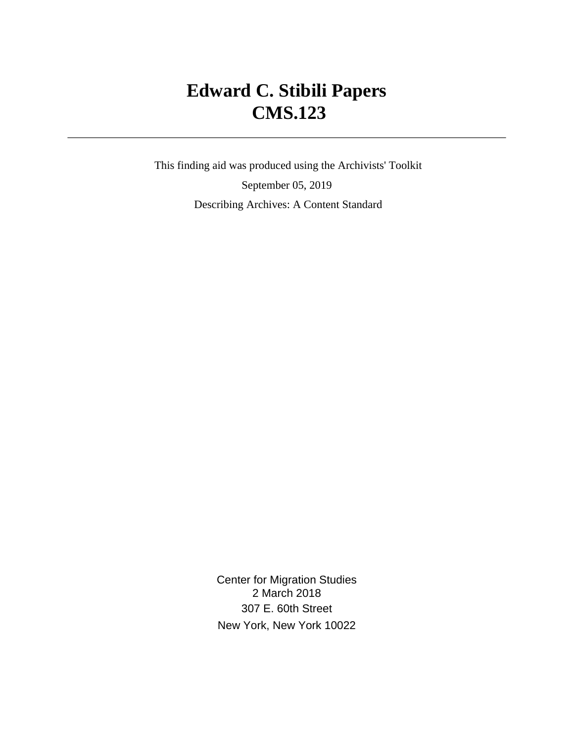# **Edward C. Stibili Papers CMS.123**

 This finding aid was produced using the Archivists' Toolkit September 05, 2019 Describing Archives: A Content Standard

> Center for Migration Studies 2 March 2018 307 E. 60th Street New York, New York 10022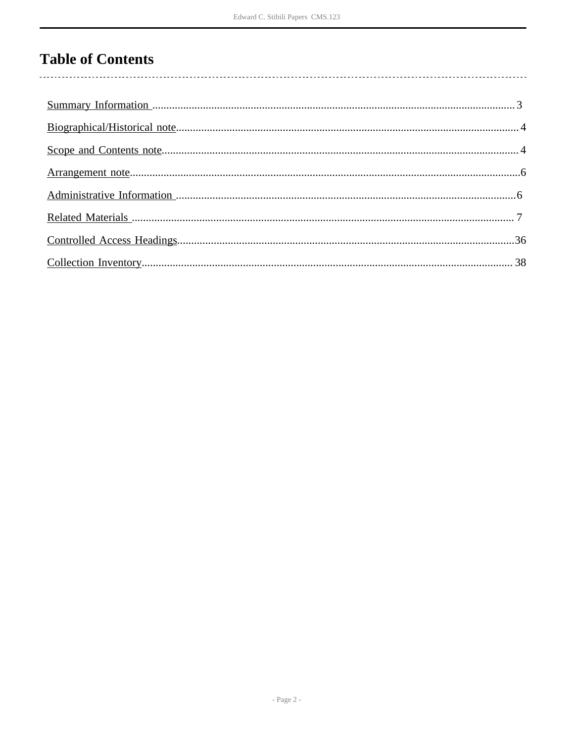# **Table of Contents**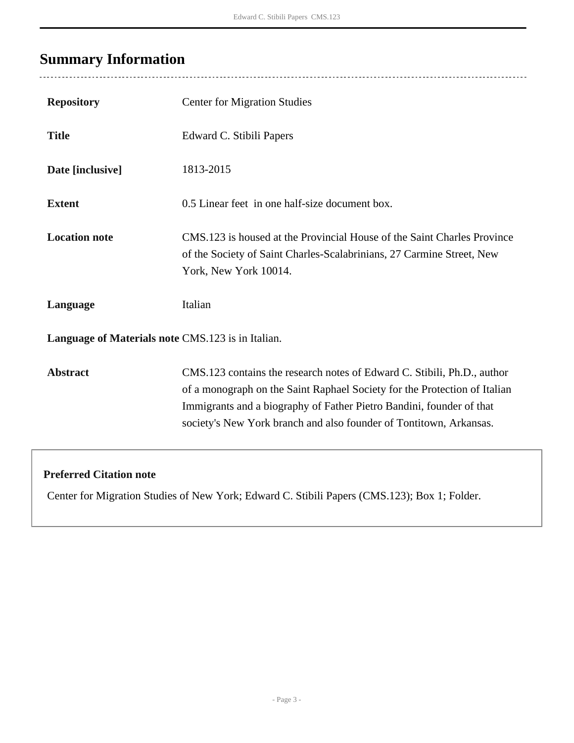# <span id="page-2-0"></span>**Summary Information**

 $\overline{a}$ 

| <b>Repository</b>                                 | <b>Center for Migration Studies</b>                                                                                                                                                                                                                                                                |  |  |  |
|---------------------------------------------------|----------------------------------------------------------------------------------------------------------------------------------------------------------------------------------------------------------------------------------------------------------------------------------------------------|--|--|--|
| <b>Title</b>                                      | Edward C. Stibili Papers                                                                                                                                                                                                                                                                           |  |  |  |
| Date [inclusive]                                  | 1813-2015                                                                                                                                                                                                                                                                                          |  |  |  |
| <b>Extent</b>                                     | 0.5 Linear feet in one half-size document box.                                                                                                                                                                                                                                                     |  |  |  |
| <b>Location note</b>                              | CMS.123 is housed at the Provincial House of the Saint Charles Province<br>of the Society of Saint Charles-Scalabrinians, 27 Carmine Street, New<br>York, New York 10014.                                                                                                                          |  |  |  |
| Language                                          | Italian                                                                                                                                                                                                                                                                                            |  |  |  |
| Language of Materials note CMS.123 is in Italian. |                                                                                                                                                                                                                                                                                                    |  |  |  |
| <b>Abstract</b>                                   | CMS.123 contains the research notes of Edward C. Stibili, Ph.D., author<br>of a monograph on the Saint Raphael Society for the Protection of Italian<br>Immigrants and a biography of Father Pietro Bandini, founder of that<br>society's New York branch and also founder of Tontitown, Arkansas. |  |  |  |
| <b>Preferred Citation note</b>                    |                                                                                                                                                                                                                                                                                                    |  |  |  |

Center for Migration Studies of New York; Edward C. Stibili Papers (CMS.123); Box 1; Folder.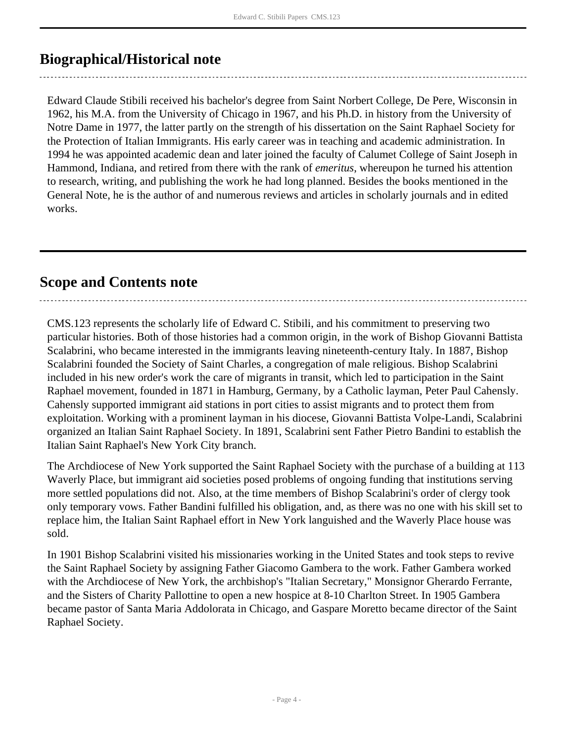# <span id="page-3-0"></span>**Biographical/Historical note**

Edward Claude Stibili received his bachelor's degree from Saint Norbert College, De Pere, Wisconsin in 1962, his M.A. from the University of Chicago in 1967, and his Ph.D. in history from the University of Notre Dame in 1977, the latter partly on the strength of his dissertation on the Saint Raphael Society for the Protection of Italian Immigrants. His early career was in teaching and academic administration. In 1994 he was appointed academic dean and later joined the faculty of Calumet College of Saint Joseph in Hammond, Indiana, and retired from there with the rank of *emeritus*, whereupon he turned his attention to research, writing, and publishing the work he had long planned. Besides the books mentioned in the General Note, he is the author of and numerous reviews and articles in scholarly journals and in edited works.

# <span id="page-3-1"></span>**Scope and Contents note**

CMS.123 represents the scholarly life of Edward C. Stibili, and his commitment to preserving two particular histories. Both of those histories had a common origin, in the work of Bishop Giovanni Battista Scalabrini, who became interested in the immigrants leaving nineteenth-century Italy. In 1887, Bishop Scalabrini founded the Society of Saint Charles, a congregation of male religious. Bishop Scalabrini included in his new order's work the care of migrants in transit, which led to participation in the Saint Raphael movement, founded in 1871 in Hamburg, Germany, by a Catholic layman, Peter Paul Cahensly. Cahensly supported immigrant aid stations in port cities to assist migrants and to protect them from exploitation. Working with a prominent layman in his diocese, Giovanni Battista Volpe-Landi, Scalabrini organized an Italian Saint Raphael Society. In 1891, Scalabrini sent Father Pietro Bandini to establish the Italian Saint Raphael's New York City branch.

The Archdiocese of New York supported the Saint Raphael Society with the purchase of a building at 113 Waverly Place, but immigrant aid societies posed problems of ongoing funding that institutions serving more settled populations did not. Also, at the time members of Bishop Scalabrini's order of clergy took only temporary vows. Father Bandini fulfilled his obligation, and, as there was no one with his skill set to replace him, the Italian Saint Raphael effort in New York languished and the Waverly Place house was sold.

In 1901 Bishop Scalabrini visited his missionaries working in the United States and took steps to revive the Saint Raphael Society by assigning Father Giacomo Gambera to the work. Father Gambera worked with the Archdiocese of New York, the archbishop's "Italian Secretary," Monsignor Gherardo Ferrante, and the Sisters of Charity Pallottine to open a new hospice at 8-10 Charlton Street. In 1905 Gambera became pastor of Santa Maria Addolorata in Chicago, and Gaspare Moretto became director of the Saint Raphael Society.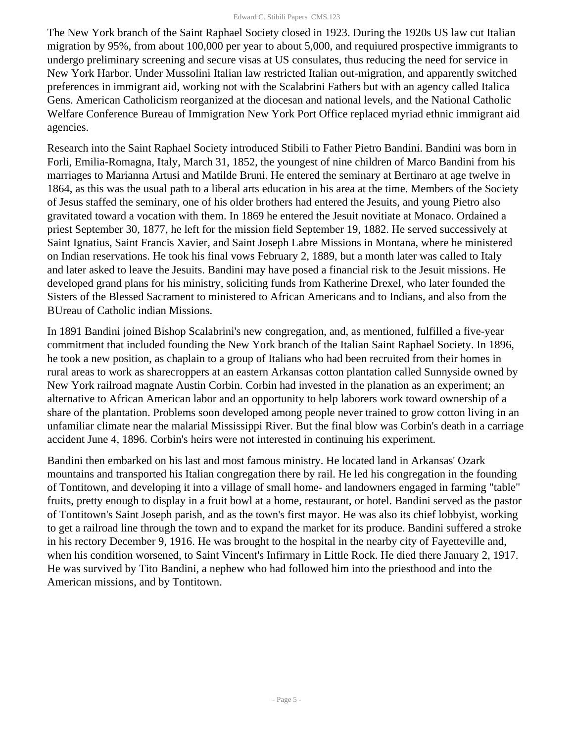The New York branch of the Saint Raphael Society closed in 1923. During the 1920s US law cut Italian migration by 95%, from about 100,000 per year to about 5,000, and requiured prospective immigrants to undergo preliminary screening and secure visas at US consulates, thus reducing the need for service in New York Harbor. Under Mussolini Italian law restricted Italian out-migration, and apparently switched preferences in immigrant aid, working not with the Scalabrini Fathers but with an agency called Italica Gens. American Catholicism reorganized at the diocesan and national levels, and the National Catholic Welfare Conference Bureau of Immigration New York Port Office replaced myriad ethnic immigrant aid agencies.

Research into the Saint Raphael Society introduced Stibili to Father Pietro Bandini. Bandini was born in Forli, Emilia-Romagna, Italy, March 31, 1852, the youngest of nine children of Marco Bandini from his marriages to Marianna Artusi and Matilde Bruni. He entered the seminary at Bertinaro at age twelve in 1864, as this was the usual path to a liberal arts education in his area at the time. Members of the Society of Jesus staffed the seminary, one of his older brothers had entered the Jesuits, and young Pietro also gravitated toward a vocation with them. In 1869 he entered the Jesuit novitiate at Monaco. Ordained a priest September 30, 1877, he left for the mission field September 19, 1882. He served successively at Saint Ignatius, Saint Francis Xavier, and Saint Joseph Labre Missions in Montana, where he ministered on Indian reservations. He took his final vows February 2, 1889, but a month later was called to Italy and later asked to leave the Jesuits. Bandini may have posed a financial risk to the Jesuit missions. He developed grand plans for his ministry, soliciting funds from Katherine Drexel, who later founded the Sisters of the Blessed Sacrament to ministered to African Americans and to Indians, and also from the BUreau of Catholic indian Missions.

In 1891 Bandini joined Bishop Scalabrini's new congregation, and, as mentioned, fulfilled a five-year commitment that included founding the New York branch of the Italian Saint Raphael Society. In 1896, he took a new position, as chaplain to a group of Italians who had been recruited from their homes in rural areas to work as sharecroppers at an eastern Arkansas cotton plantation called Sunnyside owned by New York railroad magnate Austin Corbin. Corbin had invested in the planation as an experiment; an alternative to African American labor and an opportunity to help laborers work toward ownership of a share of the plantation. Problems soon developed among people never trained to grow cotton living in an unfamiliar climate near the malarial Mississippi River. But the final blow was Corbin's death in a carriage accident June 4, 1896. Corbin's heirs were not interested in continuing his experiment.

Bandini then embarked on his last and most famous ministry. He located land in Arkansas' Ozark mountains and transported his Italian congregation there by rail. He led his congregation in the founding of Tontitown, and developing it into a village of small home- and landowners engaged in farming "table" fruits, pretty enough to display in a fruit bowl at a home, restaurant, or hotel. Bandini served as the pastor of Tontitown's Saint Joseph parish, and as the town's first mayor. He was also its chief lobbyist, working to get a railroad line through the town and to expand the market for its produce. Bandini suffered a stroke in his rectory December 9, 1916. He was brought to the hospital in the nearby city of Fayetteville and, when his condition worsened, to Saint Vincent's Infirmary in Little Rock. He died there January 2, 1917. He was survived by Tito Bandini, a nephew who had followed him into the priesthood and into the American missions, and by Tontitown.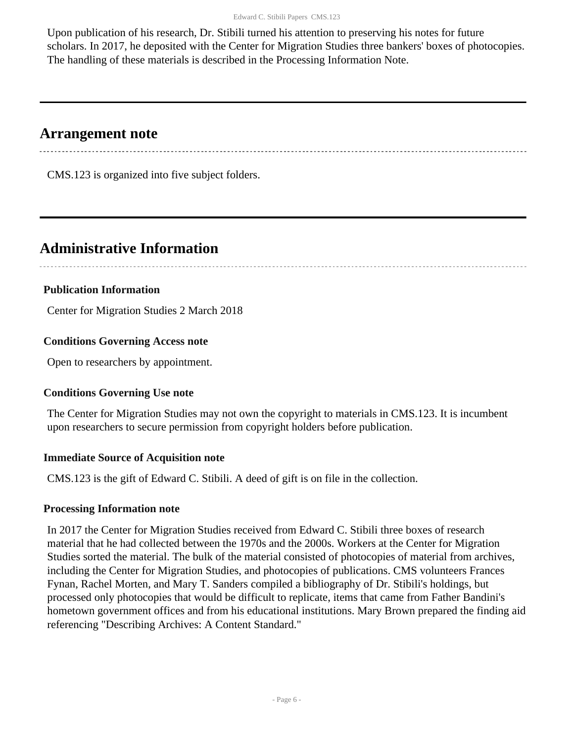Upon publication of his research, Dr. Stibili turned his attention to preserving his notes for future scholars. In 2017, he deposited with the Center for Migration Studies three bankers' boxes of photocopies. The handling of these materials is described in the Processing Information Note.

# <span id="page-5-0"></span>**Arrangement note**

CMS.123 is organized into five subject folders.

# <span id="page-5-1"></span>**Administrative Information**

# **Publication Information**

Center for Migration Studies 2 March 2018

# **Conditions Governing Access note**

Open to researchers by appointment.

# **Conditions Governing Use note**

The Center for Migration Studies may not own the copyright to materials in CMS.123. It is incumbent upon researchers to secure permission from copyright holders before publication.

# **Immediate Source of Acquisition note**

CMS.123 is the gift of Edward C. Stibili. A deed of gift is on file in the collection.

# **Processing Information note**

In 2017 the Center for Migration Studies received from Edward C. Stibili three boxes of research material that he had collected between the 1970s and the 2000s. Workers at the Center for Migration Studies sorted the material. The bulk of the material consisted of photocopies of material from archives, including the Center for Migration Studies, and photocopies of publications. CMS volunteers Frances Fynan, Rachel Morten, and Mary T. Sanders compiled a bibliography of Dr. Stibili's holdings, but processed only photocopies that would be difficult to replicate, items that came from Father Bandini's hometown government offices and from his educational institutions. Mary Brown prepared the finding aid referencing "Describing Archives: A Content Standard."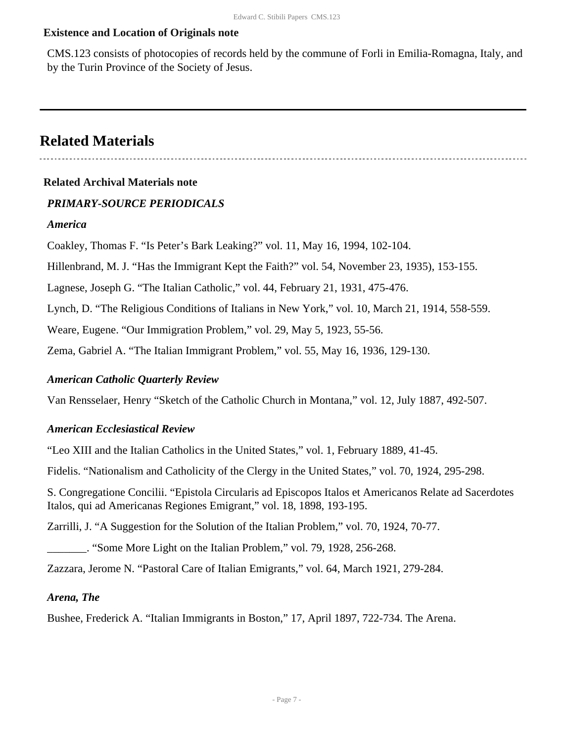#### **Existence and Location of Originals note**

CMS.123 consists of photocopies of records held by the commune of Forli in Emilia-Romagna, Italy, and by the Turin Province of the Society of Jesus.

# <span id="page-6-0"></span>**Related Materials**

#### **Related Archival Materials note**

#### *PRIMARY-SOURCE PERIODICALS*

#### *America*

Coakley, Thomas F. "Is Peter's Bark Leaking?" vol. 11, May 16, 1994, 102-104.

Hillenbrand, M. J. "Has the Immigrant Kept the Faith?" vol. 54, November 23, 1935), 153-155.

Lagnese, Joseph G. "The Italian Catholic," vol. 44, February 21, 1931, 475-476.

Lynch, D. "The Religious Conditions of Italians in New York," vol. 10, March 21, 1914, 558-559.

Weare, Eugene. "Our Immigration Problem," vol. 29, May 5, 1923, 55-56.

Zema, Gabriel A. "The Italian Immigrant Problem," vol. 55, May 16, 1936, 129-130.

#### *American Catholic Quarterly Review*

Van Rensselaer, Henry "Sketch of the Catholic Church in Montana," vol. 12, July 1887, 492-507.

#### *American Ecclesiastical Review*

"Leo XIII and the Italian Catholics in the United States," vol. 1, February 1889, 41-45.

Fidelis. "Nationalism and Catholicity of the Clergy in the United States," vol. 70, 1924, 295-298.

S. Congregatione Concilii. "Epistola Circularis ad Episcopos Italos et Americanos Relate ad Sacerdotes Italos, qui ad Americanas Regiones Emigrant," vol. 18, 1898, 193-195.

Zarrilli, J. "A Suggestion for the Solution of the Italian Problem," vol. 70, 1924, 70-77.

\_\_\_\_\_\_\_. "Some More Light on the Italian Problem," vol. 79, 1928, 256-268.

Zazzara, Jerome N. "Pastoral Care of Italian Emigrants," vol. 64, March 1921, 279-284.

#### *Arena, The*

Bushee, Frederick A. "Italian Immigrants in Boston," 17, April 1897, 722-734. The Arena.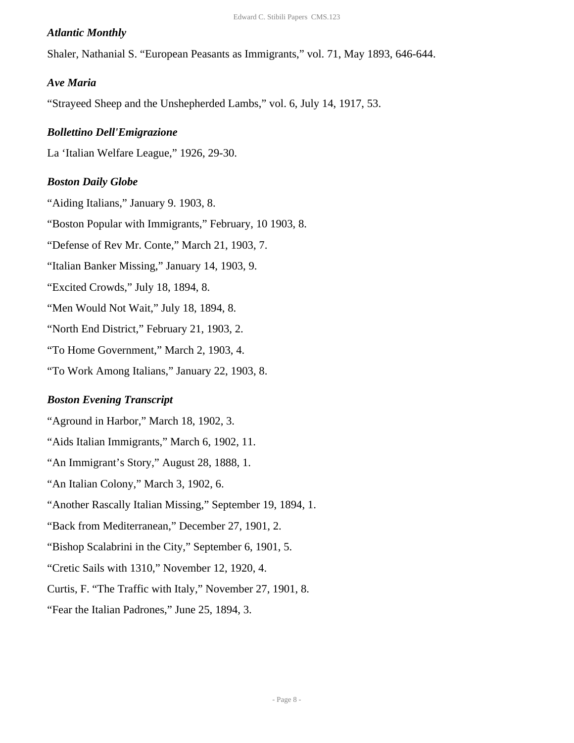#### *Atlantic Monthly*

Shaler, Nathanial S. "European Peasants as Immigrants," vol. 71, May 1893, 646-644.

#### *Ave Maria*

"Strayeed Sheep and the Unshepherded Lambs," vol. 6, July 14, 1917, 53.

#### *Bollettino Dell'Emigrazione*

La 'Italian Welfare League," 1926, 29-30.

#### *Boston Daily Globe*

"Aiding Italians," January 9. 1903, 8.

"Boston Popular with Immigrants," February, 10 1903, 8.

"Defense of Rev Mr. Conte," March 21, 1903, 7.

"Italian Banker Missing," January 14, 1903, 9.

"Excited Crowds," July 18, 1894, 8.

"Men Would Not Wait," July 18, 1894, 8.

"North End District," February 21, 1903, 2.

"To Home Government," March 2, 1903, 4.

"To Work Among Italians," January 22, 1903, 8.

#### *Boston Evening Transcript*

"Aground in Harbor," March 18, 1902, 3.

"Aids Italian Immigrants," March 6, 1902, 11.

"An Immigrant's Story," August 28, 1888, 1.

"An Italian Colony," March 3, 1902, 6.

"Another Rascally Italian Missing," September 19, 1894, 1.

"Back from Mediterranean," December 27, 1901, 2.

"Bishop Scalabrini in the City," September 6, 1901, 5.

"Cretic Sails with 1310," November 12, 1920, 4.

Curtis, F. "The Traffic with Italy," November 27, 1901, 8.

"Fear the Italian Padrones," June 25, 1894, 3.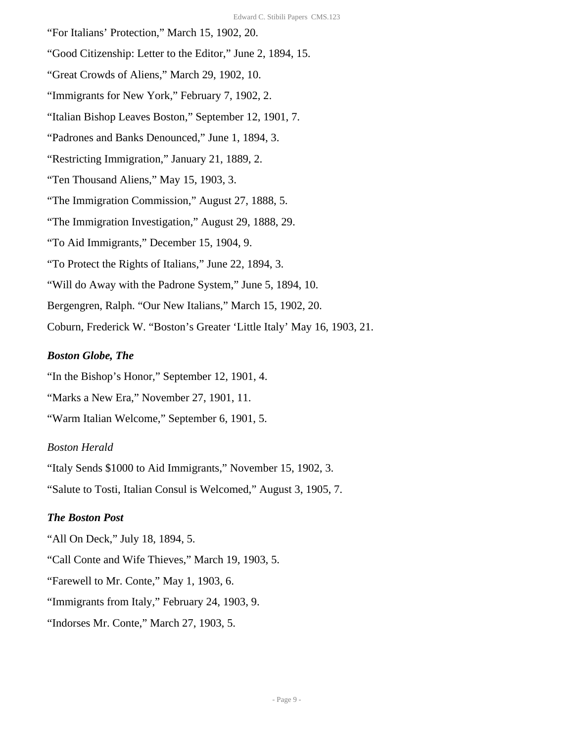"For Italians' Protection," March 15, 1902, 20.

"Good Citizenship: Letter to the Editor," June 2, 1894, 15.

"Great Crowds of Aliens," March 29, 1902, 10.

"Immigrants for New York," February 7, 1902, 2.

"Italian Bishop Leaves Boston," September 12, 1901, 7.

"Padrones and Banks Denounced," June 1, 1894, 3.

"Restricting Immigration," January 21, 1889, 2.

"Ten Thousand Aliens," May 15, 1903, 3.

"The Immigration Commission," August 27, 1888, 5.

"The Immigration Investigation," August 29, 1888, 29.

"To Aid Immigrants," December 15, 1904, 9.

"To Protect the Rights of Italians," June 22, 1894, 3.

"Will do Away with the Padrone System," June 5, 1894, 10.

Bergengren, Ralph. "Our New Italians," March 15, 1902, 20.

Coburn, Frederick W. "Boston's Greater 'Little Italy' May 16, 1903, 21.

#### *Boston Globe, The*

"In the Bishop's Honor," September 12, 1901, 4.

"Marks a New Era," November 27, 1901, 11.

"Warm Italian Welcome," September 6, 1901, 5.

#### *Boston Herald*

"Italy Sends \$1000 to Aid Immigrants," November 15, 1902, 3.

"Salute to Tosti, Italian Consul is Welcomed," August 3, 1905, 7.

#### *The Boston Post*

"All On Deck," July 18, 1894, 5.

"Call Conte and Wife Thieves," March 19, 1903, 5.

"Farewell to Mr. Conte," May 1, 1903, 6.

"Immigrants from Italy," February 24, 1903, 9.

"Indorses Mr. Conte," March 27, 1903, 5.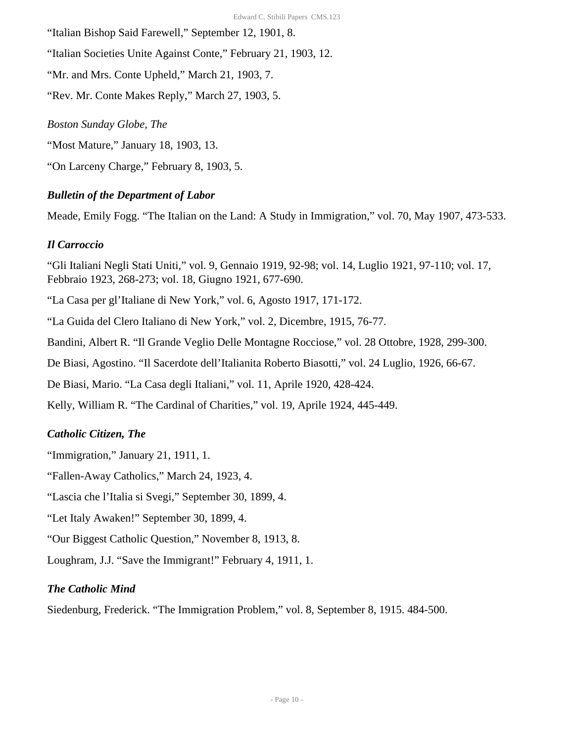"Italian Bishop Said Farewell," September 12, 1901, 8.

"Italian Societies Unite Against Conte," February 21, 1903, 12.

"Mr. and Mrs. Conte Upheld," March 21, 1903, 7.

"Rev. Mr. Conte Makes Reply," March 27, 1903, 5.

#### *Boston Sunday Globe, The*

"Most Mature," January 18, 1903, 13.

"On Larceny Charge," February 8, 1903, 5.

# *Bulletin of the Department of Labor*

Meade, Emily Fogg. "The Italian on the Land: A Study in Immigration," vol. 70, May 1907, 473-533.

# *Il Carroccio*

"Gli Italiani Negli Stati Uniti," vol. 9, Gennaio 1919, 92-98; vol. 14, Luglio 1921, 97-110; vol. 17, Febbraio 1923, 268-273; vol. 18, Giugno 1921, 677-690.

"La Casa per gl'Italiane di New York," vol. 6, Agosto 1917, 171-172.

"La Guida del Clero Italiano di New York," vol. 2, Dicembre, 1915, 76-77.

Bandini, Albert R. "Il Grande Veglio Delle Montagne Rocciose," vol. 28 Ottobre, 1928, 299-300.

De Biasi, Agostino. "Il Sacerdote dell'Italianita Roberto Biasotti," vol. 24 Luglio, 1926, 66-67.

De Biasi, Mario. "La Casa degli Italiani," vol. 11, Aprile 1920, 428-424.

Kelly, William R. "The Cardinal of Charities," vol. 19, Aprile 1924, 445-449.

# *Catholic Citizen, The*

"Immigration," January 21, 1911, 1.

"Fallen-Away Catholics," March 24, 1923, 4.

"Lascia che l'Italia si Svegi," September 30, 1899, 4.

"Let Italy Awaken!" September 30, 1899, 4.

"Our Biggest Catholic Question," November 8, 1913, 8.

Loughram, J.J. "Save the Immigrant!" February 4, 1911, 1.

# *The Catholic Mind*

Siedenburg, Frederick. "The Immigration Problem," vol. 8, September 8, 1915. 484-500.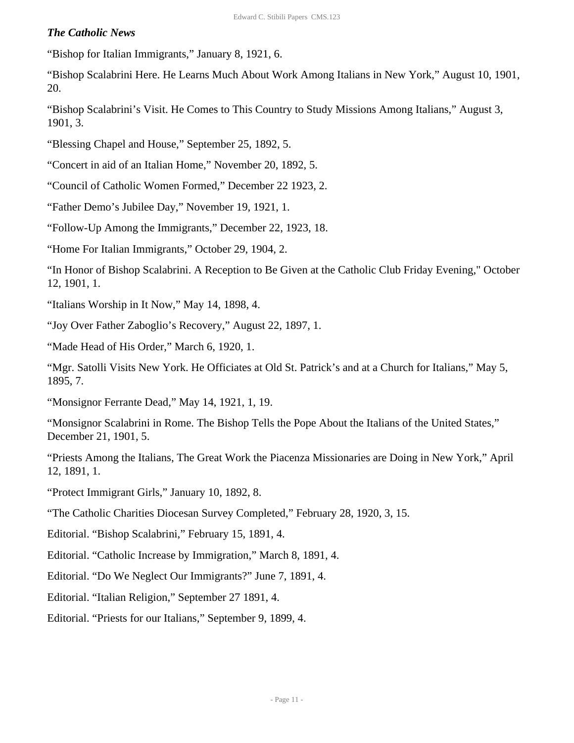#### *The Catholic News*

"Bishop for Italian Immigrants," January 8, 1921, 6.

"Bishop Scalabrini Here. He Learns Much About Work Among Italians in New York," August 10, 1901, 20.

"Bishop Scalabrini's Visit. He Comes to This Country to Study Missions Among Italians," August 3, 1901, 3.

"Blessing Chapel and House," September 25, 1892, 5.

"Concert in aid of an Italian Home," November 20, 1892, 5.

"Council of Catholic Women Formed," December 22 1923, 2.

"Father Demo's Jubilee Day," November 19, 1921, 1.

"Follow-Up Among the Immigrants," December 22, 1923, 18.

"Home For Italian Immigrants," October 29, 1904, 2.

"In Honor of Bishop Scalabrini. A Reception to Be Given at the Catholic Club Friday Evening," October 12, 1901, 1.

"Italians Worship in It Now," May 14, 1898, 4.

"Joy Over Father Zaboglio's Recovery," August 22, 1897, 1.

"Made Head of His Order," March 6, 1920, 1.

"Mgr. Satolli Visits New York. He Officiates at Old St. Patrick's and at a Church for Italians," May 5, 1895, 7.

"Monsignor Ferrante Dead," May 14, 1921, 1, 19.

"Monsignor Scalabrini in Rome. The Bishop Tells the Pope About the Italians of the United States," December 21, 1901, 5.

"Priests Among the Italians, The Great Work the Piacenza Missionaries are Doing in New York," April 12, 1891, 1.

"Protect Immigrant Girls," January 10, 1892, 8.

"The Catholic Charities Diocesan Survey Completed," February 28, 1920, 3, 15.

Editorial. "Bishop Scalabrini," February 15, 1891, 4.

Editorial. "Catholic Increase by Immigration," March 8, 1891, 4.

Editorial. "Do We Neglect Our Immigrants?" June 7, 1891, 4.

Editorial. "Italian Religion," September 27 1891, 4.

Editorial. "Priests for our Italians," September 9, 1899, 4.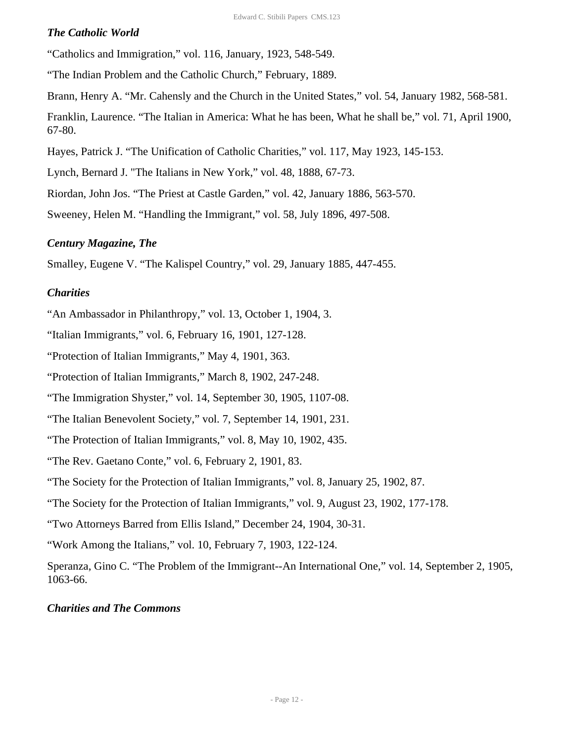#### *The Catholic World*

"Catholics and Immigration," vol. 116, January, 1923, 548-549.

"The Indian Problem and the Catholic Church," February, 1889.

Brann, Henry A. "Mr. Cahensly and the Church in the United States," vol. 54, January 1982, 568-581.

Franklin, Laurence. "The Italian in America: What he has been, What he shall be," vol. 71, April 1900, 67-80.

Hayes, Patrick J. "The Unification of Catholic Charities," vol. 117, May 1923, 145-153.

Lynch, Bernard J. "The Italians in New York," vol. 48, 1888, 67-73.

Riordan, John Jos. "The Priest at Castle Garden," vol. 42, January 1886, 563-570.

Sweeney, Helen M. "Handling the Immigrant," vol. 58, July 1896, 497-508.

### *Century Magazine, The*

Smalley, Eugene V. "The Kalispel Country," vol. 29, January 1885, 447-455.

### *Charities*

"An Ambassador in Philanthropy," vol. 13, October 1, 1904, 3.

"Italian Immigrants," vol. 6, February 16, 1901, 127-128.

"Protection of Italian Immigrants," May 4, 1901, 363.

"Protection of Italian Immigrants," March 8, 1902, 247-248.

"The Immigration Shyster," vol. 14, September 30, 1905, 1107-08.

"The Italian Benevolent Society," vol. 7, September 14, 1901, 231.

"The Protection of Italian Immigrants," vol. 8, May 10, 1902, 435.

"The Rev. Gaetano Conte," vol. 6, February 2, 1901, 83.

"The Society for the Protection of Italian Immigrants," vol. 8, January 25, 1902, 87.

"The Society for the Protection of Italian Immigrants," vol. 9, August 23, 1902, 177-178.

"Two Attorneys Barred from Ellis Island," December 24, 1904, 30-31.

"Work Among the Italians," vol. 10, February 7, 1903, 122-124.

Speranza, Gino C. "The Problem of the Immigrant--An International One," vol. 14, September 2, 1905, 1063-66.

#### *Charities and The Commons*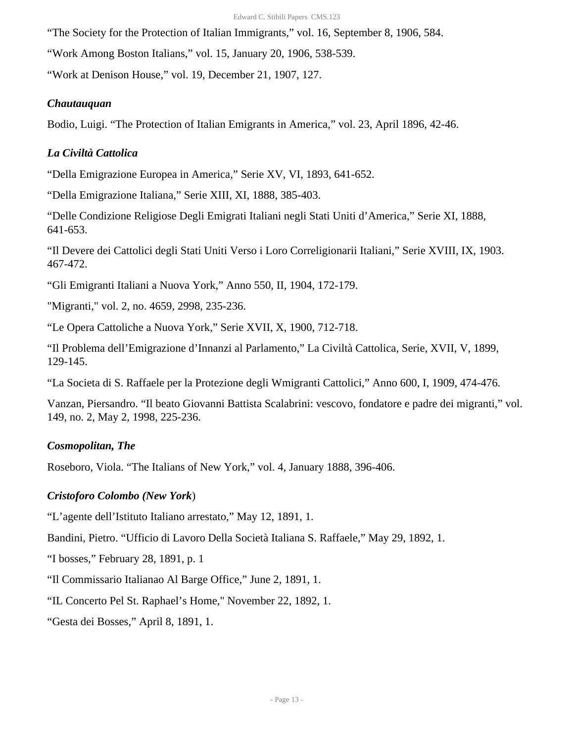"The Society for the Protection of Italian Immigrants," vol. 16, September 8, 1906, 584.

"Work Among Boston Italians," vol. 15, January 20, 1906, 538-539.

"Work at Denison House," vol. 19, December 21, 1907, 127.

#### *Chautauquan*

Bodio, Luigi. "The Protection of Italian Emigrants in America," vol. 23, April 1896, 42-46.

#### *La Civiltà Cattolica*

"Della Emigrazione Europea in America," Serie XV, VI, 1893, 641-652.

"Della Emigrazione Italiana," Serie XIII, XI, 1888, 385-403.

"Delle Condizione Religiose Degli Emigrati Italiani negli Stati Uniti d'America," Serie XI, 1888, 641-653.

"Il Devere dei Cattolici degli Stati Uniti Verso i Loro Correligionarii Italiani," Serie XVIII, IX, 1903. 467-472.

"Gli Emigranti Italiani a Nuova York," Anno 550, II, 1904, 172-179.

"Migranti," vol. 2, no. 4659, 2998, 235-236.

"Le Opera Cattoliche a Nuova York," Serie XVII, X, 1900, 712-718.

"Il Problema dell'Emigrazione d'Innanzi al Parlamento," La Civiltà Cattolica, Serie, XVII, V, 1899, 129-145.

"La Societa di S. Raffaele per la Protezione degli Wmigranti Cattolici," Anno 600, I, 1909, 474-476.

Vanzan, Piersandro. "Il beato Giovanni Battista Scalabrini: vescovo, fondatore e padre dei migranti," vol. 149, no. 2, May 2, 1998, 225-236.

#### *Cosmopolitan, The*

Roseboro, Viola. "The Italians of New York," vol. 4, January 1888, 396-406.

#### *Cristoforo Colombo (New York*)

"L'agente dell'Istituto Italiano arrestato," May 12, 1891, 1.

Bandini, Pietro. "Ufficio di Lavoro Della Società Italiana S. Raffaele," May 29, 1892, 1.

"I bosses," February 28, 1891, p. 1

"Il Commissario Italianao Al Barge Office," June 2, 1891, 1.

"IL Concerto Pel St. Raphael's Home," November 22, 1892, 1.

"Gesta dei Bosses," April 8, 1891, 1.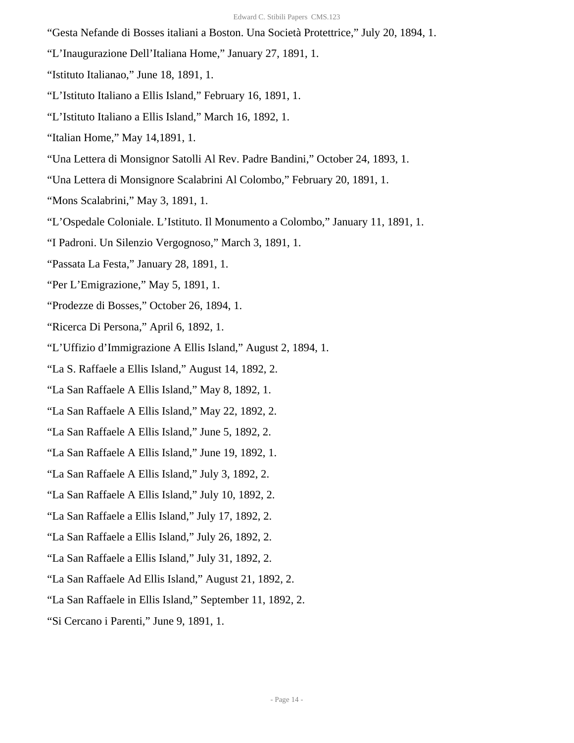"Gesta Nefande di Bosses italiani a Boston. Una Società Protettrice," July 20, 1894, 1.

- "L'Inaugurazione Dell'Italiana Home," January 27, 1891, 1.
- "Istituto Italianao," June 18, 1891, 1.
- "L'Istituto Italiano a Ellis Island," February 16, 1891, 1.
- "L'Istituto Italiano a Ellis Island," March 16, 1892, 1.
- "Italian Home," May 14,1891, 1.
- "Una Lettera di Monsignor Satolli Al Rev. Padre Bandini," October 24, 1893, 1.
- "Una Lettera di Monsignore Scalabrini Al Colombo," February 20, 1891, 1.
- "Mons Scalabrini," May 3, 1891, 1.
- "L'Ospedale Coloniale. L'Istituto. Il Monumento a Colombo," January 11, 1891, 1.
- "I Padroni. Un Silenzio Vergognoso," March 3, 1891, 1.
- "Passata La Festa," January 28, 1891, 1.
- "Per L'Emigrazione," May 5, 1891, 1.
- "Prodezze di Bosses," October 26, 1894, 1.
- "Ricerca Di Persona," April 6, 1892, 1.
- "L'Uffizio d'Immigrazione A Ellis Island," August 2, 1894, 1.
- "La S. Raffaele a Ellis Island," August 14, 1892, 2.
- "La San Raffaele A Ellis Island," May 8, 1892, 1.
- "La San Raffaele A Ellis Island," May 22, 1892, 2.
- "La San Raffaele A Ellis Island," June 5, 1892, 2.
- "La San Raffaele A Ellis Island," June 19, 1892, 1.
- "La San Raffaele A Ellis Island," July 3, 1892, 2.
- "La San Raffaele A Ellis Island," July 10, 1892, 2.
- "La San Raffaele a Ellis Island," July 17, 1892, 2.
- "La San Raffaele a Ellis Island," July 26, 1892, 2.
- "La San Raffaele a Ellis Island," July 31, 1892, 2.
- "La San Raffaele Ad Ellis Island," August 21, 1892, 2.
- "La San Raffaele in Ellis Island," September 11, 1892, 2.
- "Si Cercano i Parenti," June 9, 1891, 1.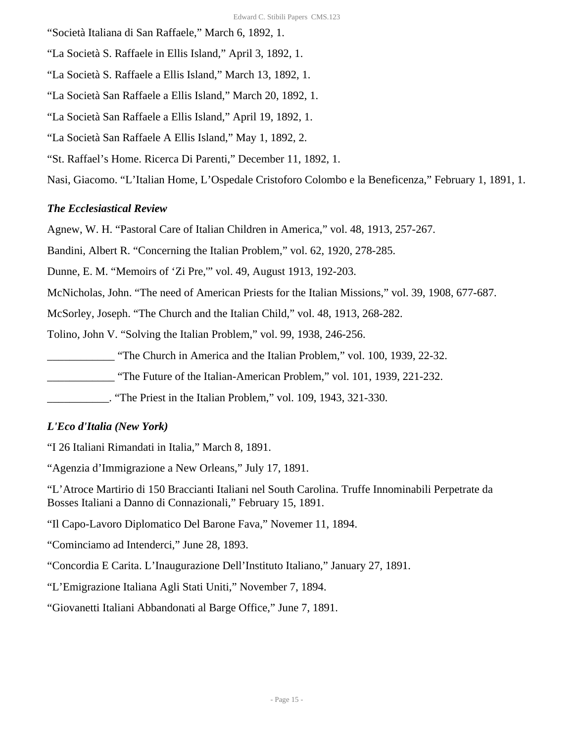"Società Italiana di San Raffaele," March 6, 1892, 1.

"La Società S. Raffaele in Ellis Island," April 3, 1892, 1.

"La Società S. Raffaele a Ellis Island," March 13, 1892, 1.

"La Società San Raffaele a Ellis Island," March 20, 1892, 1.

"La Società San Raffaele a Ellis Island," April 19, 1892, 1.

"La Società San Raffaele A Ellis Island," May 1, 1892, 2.

"St. Raffael's Home. Ricerca Di Parenti," December 11, 1892, 1.

Nasi, Giacomo. "L'Italian Home, L'Ospedale Cristoforo Colombo e la Beneficenza," February 1, 1891, 1.

# *The Ecclesiastical Review*

Agnew, W. H. "Pastoral Care of Italian Children in America," vol. 48, 1913, 257-267.

Bandini, Albert R. "Concerning the Italian Problem," vol. 62, 1920, 278-285.

Dunne, E. M. "Memoirs of 'Zi Pre,'" vol. 49, August 1913, 192-203.

McNicholas, John. "The need of American Priests for the Italian Missions," vol. 39, 1908, 677-687.

McSorley, Joseph. "The Church and the Italian Child," vol. 48, 1913, 268-282.

Tolino, John V. "Solving the Italian Problem," vol. 99, 1938, 246-256.

\_\_\_\_\_\_\_\_\_\_\_\_ "The Church in America and the Italian Problem," vol. 100, 1939, 22-32.

\_\_\_\_\_\_\_\_\_\_\_\_ "The Future of the Italian-American Problem," vol. 101, 1939, 221-232.

\_\_\_\_\_\_\_\_\_\_\_. "The Priest in the Italian Problem," vol. 109, 1943, 321-330.

#### *L'Eco d'Italia (New York)*

"I 26 Italiani Rimandati in Italia," March 8, 1891.

"Agenzia d'Immigrazione a New Orleans," July 17, 1891.

"L'Atroce Martirio di 150 Braccianti Italiani nel South Carolina. Truffe Innominabili Perpetrate da Bosses Italiani a Danno di Connazionali," February 15, 1891.

"Il Capo-Lavoro Diplomatico Del Barone Fava," Novemer 11, 1894.

"Cominciamo ad Intenderci," June 28, 1893.

"Concordia E Carita. L'Inaugurazione Dell'Instituto Italiano," January 27, 1891.

"L'Emigrazione Italiana Agli Stati Uniti," November 7, 1894.

"Giovanetti Italiani Abbandonati al Barge Office," June 7, 1891.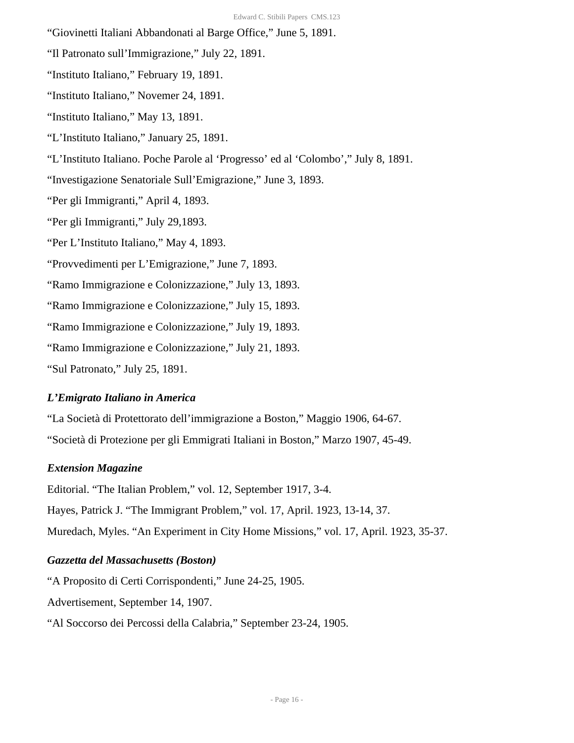- "Giovinetti Italiani Abbandonati al Barge Office," June 5, 1891.
- "Il Patronato sull'Immigrazione," July 22, 1891.
- "Instituto Italiano," February 19, 1891.
- "Instituto Italiano," Novemer 24, 1891.
- "Instituto Italiano," May 13, 1891.
- "L'Instituto Italiano," January 25, 1891.
- "L'Instituto Italiano. Poche Parole al 'Progresso' ed al 'Colombo'," July 8, 1891.
- "Investigazione Senatoriale Sull'Emigrazione," June 3, 1893.
- "Per gli Immigranti," April 4, 1893.
- "Per gli Immigranti," July 29,1893.
- "Per L'Instituto Italiano," May 4, 1893.
- "Provvedimenti per L'Emigrazione," June 7, 1893.
- "Ramo Immigrazione e Colonizzazione," July 13, 1893.
- "Ramo Immigrazione e Colonizzazione," July 15, 1893.
- "Ramo Immigrazione e Colonizzazione," July 19, 1893.
- "Ramo Immigrazione e Colonizzazione," July 21, 1893.
- "Sul Patronato," July 25, 1891.

#### *L'Emigrato Italiano in America*

- "La Società di Protettorato dell'immigrazione a Boston," Maggio 1906, 64-67.
- "Società di Protezione per gli Emmigrati Italiani in Boston," Marzo 1907, 45-49.

#### *Extension Magazine*

Editorial. "The Italian Problem," vol. 12, September 1917, 3-4.

Hayes, Patrick J. "The Immigrant Problem," vol. 17, April. 1923, 13-14, 37.

Muredach, Myles. "An Experiment in City Home Missions," vol. 17, April. 1923, 35-37.

#### *Gazzetta del Massachusetts (Boston)*

"A Proposito di Certi Corrispondenti," June 24-25, 1905.

Advertisement, September 14, 1907.

"Al Soccorso dei Percossi della Calabria," September 23-24, 1905.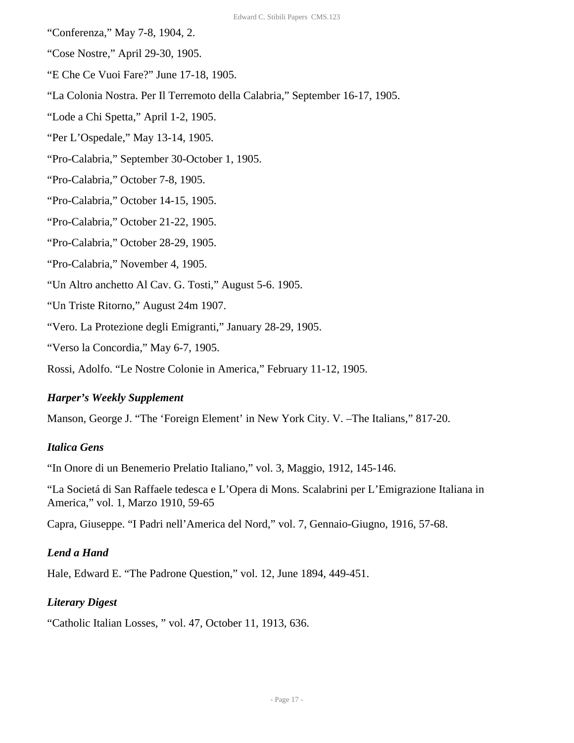- "Conferenza," May 7-8, 1904, 2.
- "Cose Nostre," April 29-30, 1905.
- "E Che Ce Vuoi Fare?" June 17-18, 1905.
- "La Colonia Nostra. Per Il Terremoto della Calabria," September 16-17, 1905.
- "Lode a Chi Spetta," April 1-2, 1905.
- "Per L'Ospedale," May 13-14, 1905.
- "Pro-Calabria," September 30-October 1, 1905.
- "Pro-Calabria," October 7-8, 1905.
- "Pro-Calabria," October 14-15, 1905.
- "Pro-Calabria," October 21-22, 1905.
- "Pro-Calabria," October 28-29, 1905.
- "Pro-Calabria," November 4, 1905.
- "Un Altro anchetto Al Cav. G. Tosti," August 5-6. 1905.
- "Un Triste Ritorno," August 24m 1907.
- "Vero. La Protezione degli Emigranti," January 28-29, 1905.
- "Verso la Concordia," May 6-7, 1905.
- Rossi, Adolfo. "Le Nostre Colonie in America," February 11-12, 1905.

#### *Harper's Weekly Supplement*

Manson, George J. "The 'Foreign Element' in New York City. V. –The Italians," 817-20.

#### *Italica Gens*

"In Onore di un Benemerio Prelatio Italiano," vol. 3, Maggio, 1912, 145-146.

"La Societá di San Raffaele tedesca e L'Opera di Mons. Scalabrini per L'Emigrazione Italiana in America," vol. 1, Marzo 1910, 59-65

Capra, Giuseppe. "I Padri nell'America del Nord," vol. 7, Gennaio-Giugno, 1916, 57-68.

#### *Lend a Hand*

Hale, Edward E. "The Padrone Question," vol. 12, June 1894, 449-451.

#### *Literary Digest*

"Catholic Italian Losses, " vol. 47, October 11, 1913, 636.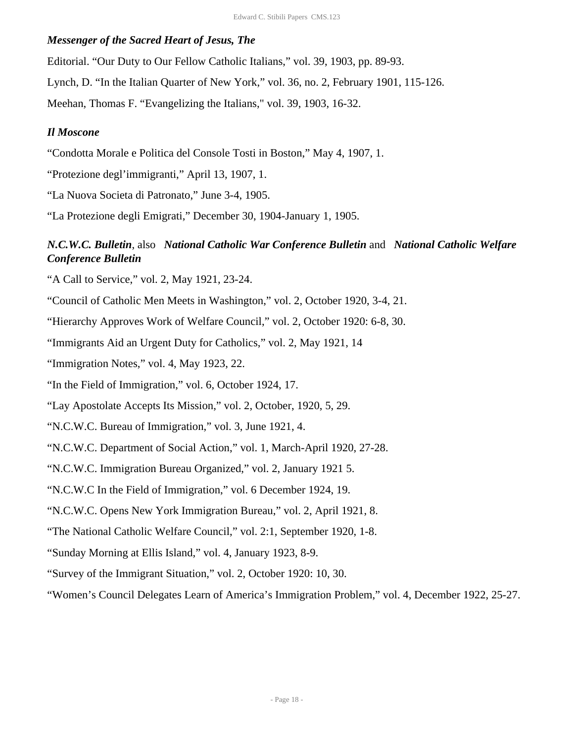#### *Messenger of the Sacred Heart of Jesus, The*

Editorial. "Our Duty to Our Fellow Catholic Italians," vol. 39, 1903, pp. 89-93.

Lynch, D. "In the Italian Quarter of New York," vol. 36, no. 2, February 1901, 115-126.

Meehan, Thomas F. "Evangelizing the Italians," vol. 39, 1903, 16-32.

#### *Il Moscone*

"Condotta Morale e Politica del Console Tosti in Boston," May 4, 1907, 1.

"Protezione degl'immigranti," April 13, 1907, 1.

"La Nuova Societa di Patronato," June 3-4, 1905.

"La Protezione degli Emigrati," December 30, 1904-January 1, 1905.

# *N.C.W.C. Bulletin*, also *National Catholic War Conference Bulletin* and *National Catholic Welfare Conference Bulletin*

"A Call to Service," vol. 2, May 1921, 23-24.

"Council of Catholic Men Meets in Washington," vol. 2, October 1920, 3-4, 21.

"Hierarchy Approves Work of Welfare Council," vol. 2, October 1920: 6-8, 30.

"Immigrants Aid an Urgent Duty for Catholics," vol. 2, May 1921, 14

"Immigration Notes," vol. 4, May 1923, 22.

"In the Field of Immigration," vol. 6, October 1924, 17.

"Lay Apostolate Accepts Its Mission," vol. 2, October, 1920, 5, 29.

"N.C.W.C. Bureau of Immigration," vol. 3, June 1921, 4.

"N.C.W.C. Department of Social Action," vol. 1, March-April 1920, 27-28.

"N.C.W.C. Immigration Bureau Organized," vol. 2, January 1921 5.

"N.C.W.C In the Field of Immigration," vol. 6 December 1924, 19.

"N.C.W.C. Opens New York Immigration Bureau," vol. 2, April 1921, 8.

"The National Catholic Welfare Council," vol. 2:1, September 1920, 1-8.

"Sunday Morning at Ellis Island," vol. 4, January 1923, 8-9.

"Survey of the Immigrant Situation," vol. 2, October 1920: 10, 30.

"Women's Council Delegates Learn of America's Immigration Problem," vol. 4, December 1922, 25-27.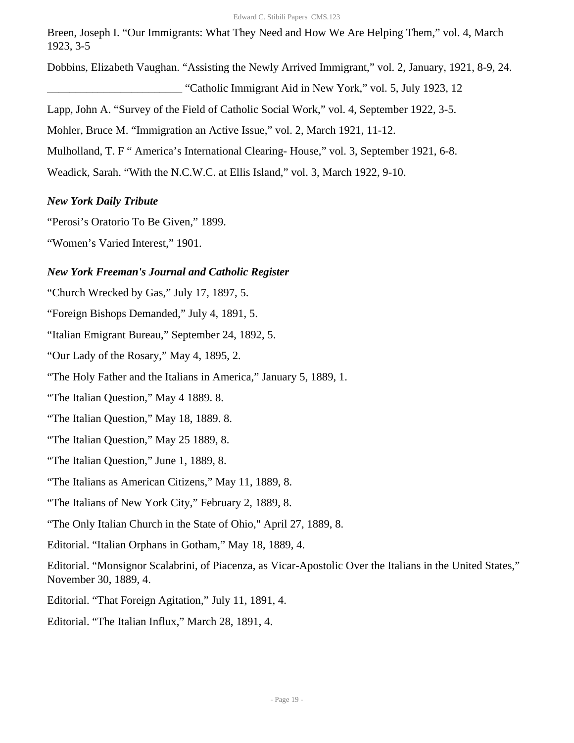Breen, Joseph I. "Our Immigrants: What They Need and How We Are Helping Them," vol. 4, March 1923, 3-5

Dobbins, Elizabeth Vaughan. "Assisting the Newly Arrived Immigrant," vol. 2, January, 1921, 8-9, 24.

\_\_\_\_\_\_\_\_\_\_\_\_\_\_\_\_\_\_\_\_\_\_\_\_ "Catholic Immigrant Aid in New York," vol. 5, July 1923, 12

Lapp, John A. "Survey of the Field of Catholic Social Work," vol. 4, September 1922, 3-5.

Mohler, Bruce M. "Immigration an Active Issue," vol. 2, March 1921, 11-12.

Mulholland, T. F " America's International Clearing- House," vol. 3, September 1921, 6-8.

Weadick, Sarah. "With the N.C.W.C. at Ellis Island," vol. 3, March 1922, 9-10.

### *New York Daily Tribute*

"Perosi's Oratorio To Be Given," 1899.

"Women's Varied Interest," 1901.

### *New York Freeman's Journal and Catholic Register*

"Church Wrecked by Gas," July 17, 1897, 5.

"Foreign Bishops Demanded," July 4, 1891, 5.

"Italian Emigrant Bureau," September 24, 1892, 5.

"Our Lady of the Rosary," May 4, 1895, 2.

"The Holy Father and the Italians in America," January 5, 1889, 1.

"The Italian Question," May 4 1889. 8.

"The Italian Question," May 18, 1889. 8.

"The Italian Question," May 25 1889, 8.

"The Italian Question," June 1, 1889, 8.

"The Italians as American Citizens," May 11, 1889, 8.

"The Italians of New York City," February 2, 1889, 8.

"The Only Italian Church in the State of Ohio," April 27, 1889, 8.

Editorial. "Italian Orphans in Gotham," May 18, 1889, 4.

Editorial. "Monsignor Scalabrini, of Piacenza, as Vicar-Apostolic Over the Italians in the United States," November 30, 1889, 4.

Editorial. "That Foreign Agitation," July 11, 1891, 4.

Editorial. "The Italian Influx," March 28, 1891, 4.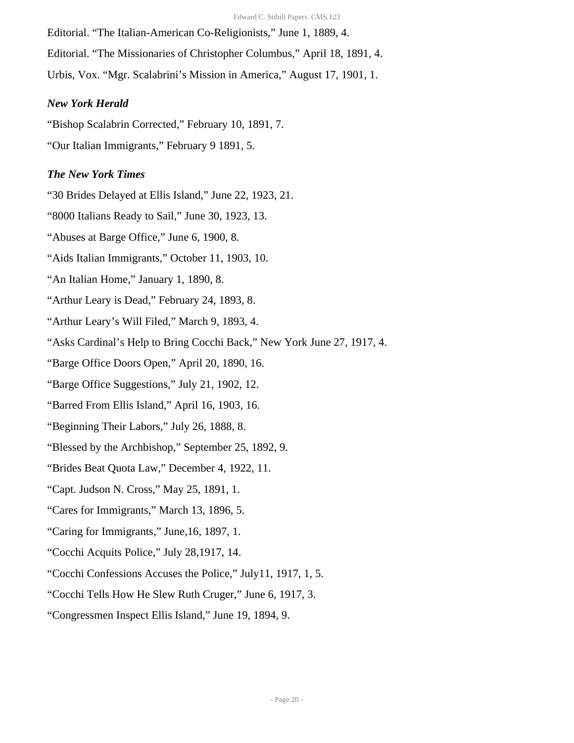Editorial. "The Italian-American Co-Religionists," June 1, 1889, 4. Editorial. "The Missionaries of Christopher Columbus," April 18, 1891, 4. Urbis, Vox. "Mgr. Scalabrini's Mission in America," August 17, 1901, 1.

#### *New York Herald*

"Bishop Scalabrin Corrected," February 10, 1891, 7. "Our Italian Immigrants," February 9 1891, 5.

# *The New York Times*

"30 Brides Delayed at Ellis Island," June 22, 1923, 21.

"8000 Italians Ready to Sail," June 30, 1923, 13.

"Abuses at Barge Office," June 6, 1900, 8.

"Aids Italian Immigrants," October 11, 1903, 10.

"An Italian Home," January 1, 1890, 8.

"Arthur Leary is Dead," February 24, 1893, 8.

"Arthur Leary's Will Filed," March 9, 1893, 4.

"Asks Cardinal's Help to Bring Cocchi Back," New York June 27, 1917, 4.

"Barge Office Doors Open," April 20, 1890, 16.

"Barge Office Suggestions," July 21, 1902, 12.

"Barred From Ellis Island," April 16, 1903, 16.

"Beginning Their Labors," July 26, 1888, 8.

"Blessed by the Archbishop," September 25, 1892, 9.

"Brides Beat Quota Law," December 4, 1922, 11.

"Capt. Judson N. Cross," May 25, 1891, 1.

"Cares for Immigrants," March 13, 1896, 5.

"Caring for Immigrants," June,16, 1897, 1.

"Cocchi Acquits Police," July 28,1917, 14.

"Cocchi Confessions Accuses the Police," July11, 1917, 1, 5.

"Cocchi Tells How He Slew Ruth Cruger," June 6, 1917, 3.

"Congressmen Inspect Ellis Island," June 19, 1894, 9.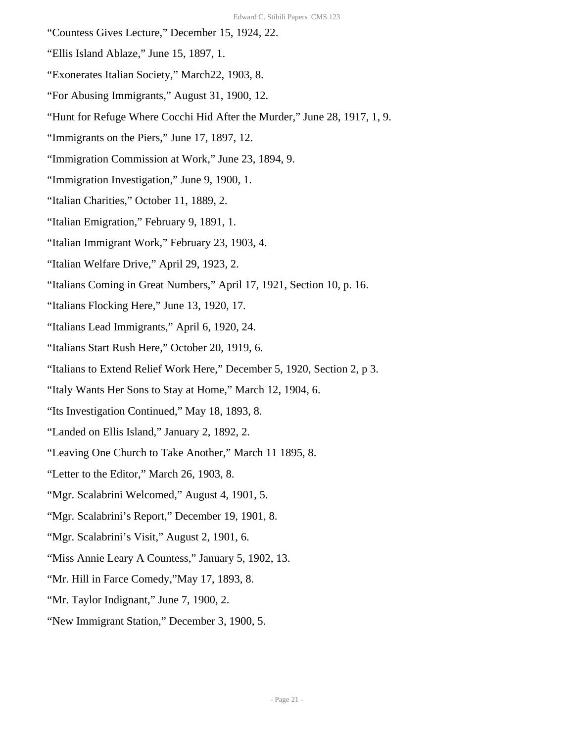- "Countess Gives Lecture," December 15, 1924, 22.
- "Ellis Island Ablaze," June 15, 1897, 1.
- "Exonerates Italian Society," March22, 1903, 8.
- "For Abusing Immigrants," August 31, 1900, 12.
- "Hunt for Refuge Where Cocchi Hid After the Murder," June 28, 1917, 1, 9.
- "Immigrants on the Piers," June 17, 1897, 12.
- "Immigration Commission at Work," June 23, 1894, 9.
- "Immigration Investigation," June 9, 1900, 1.
- "Italian Charities," October 11, 1889, 2.
- "Italian Emigration," February 9, 1891, 1.
- "Italian Immigrant Work," February 23, 1903, 4.
- "Italian Welfare Drive," April 29, 1923, 2.
- "Italians Coming in Great Numbers," April 17, 1921, Section 10, p. 16.
- "Italians Flocking Here," June 13, 1920, 17.
- "Italians Lead Immigrants," April 6, 1920, 24.
- "Italians Start Rush Here," October 20, 1919, 6.
- "Italians to Extend Relief Work Here," December 5, 1920, Section 2, p 3.
- "Italy Wants Her Sons to Stay at Home," March 12, 1904, 6.
- "Its Investigation Continued," May 18, 1893, 8.
- "Landed on Ellis Island," January 2, 1892, 2.
- "Leaving One Church to Take Another," March 11 1895, 8.
- "Letter to the Editor," March 26, 1903, 8.
- "Mgr. Scalabrini Welcomed," August 4, 1901, 5.
- "Mgr. Scalabrini's Report," December 19, 1901, 8.
- "Mgr. Scalabrini's Visit," August 2, 1901, 6.
- "Miss Annie Leary A Countess," January 5, 1902, 13.
- "Mr. Hill in Farce Comedy,"May 17, 1893, 8.
- "Mr. Taylor Indignant," June 7, 1900, 2.
- "New Immigrant Station," December 3, 1900, 5.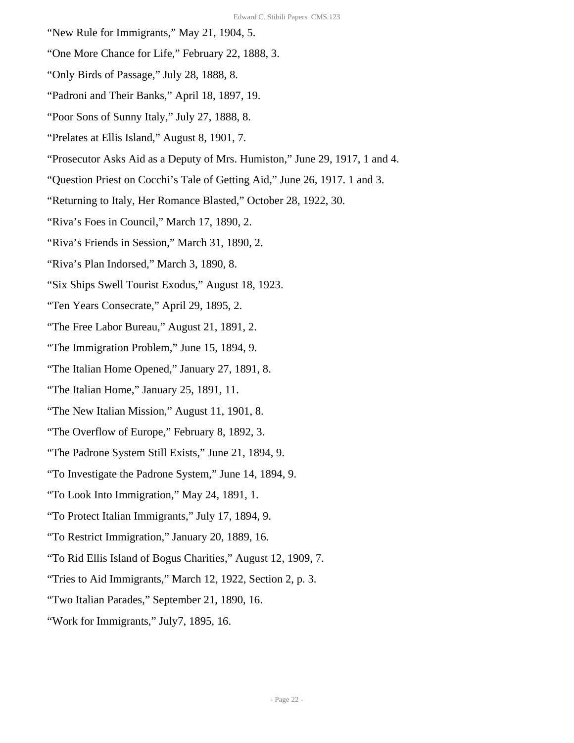- "New Rule for Immigrants," May 21, 1904, 5.
- "One More Chance for Life," February 22, 1888, 3.
- "Only Birds of Passage," July 28, 1888, 8.
- "Padroni and Their Banks," April 18, 1897, 19.
- "Poor Sons of Sunny Italy," July 27, 1888, 8.
- "Prelates at Ellis Island," August 8, 1901, 7.
- "Prosecutor Asks Aid as a Deputy of Mrs. Humiston," June 29, 1917, 1 and 4.
- "Question Priest on Cocchi's Tale of Getting Aid," June 26, 1917. 1 and 3.
- "Returning to Italy, Her Romance Blasted," October 28, 1922, 30.
- "Riva's Foes in Council," March 17, 1890, 2.
- "Riva's Friends in Session," March 31, 1890, 2.
- "Riva's Plan Indorsed," March 3, 1890, 8.
- "Six Ships Swell Tourist Exodus," August 18, 1923.
- "Ten Years Consecrate," April 29, 1895, 2.
- "The Free Labor Bureau," August 21, 1891, 2.
- "The Immigration Problem," June 15, 1894, 9.
- "The Italian Home Opened," January 27, 1891, 8.
- "The Italian Home," January 25, 1891, 11.
- "The New Italian Mission," August 11, 1901, 8.
- "The Overflow of Europe," February 8, 1892, 3.
- "The Padrone System Still Exists," June 21, 1894, 9.
- "To Investigate the Padrone System," June 14, 1894, 9.
- "To Look Into Immigration," May 24, 1891, 1.
- "To Protect Italian Immigrants," July 17, 1894, 9.
- "To Restrict Immigration," January 20, 1889, 16.
- "To Rid Ellis Island of Bogus Charities," August 12, 1909, 7.
- "Tries to Aid Immigrants," March 12, 1922, Section 2, p. 3.
- "Two Italian Parades," September 21, 1890, 16.
- "Work for Immigrants," July7, 1895, 16.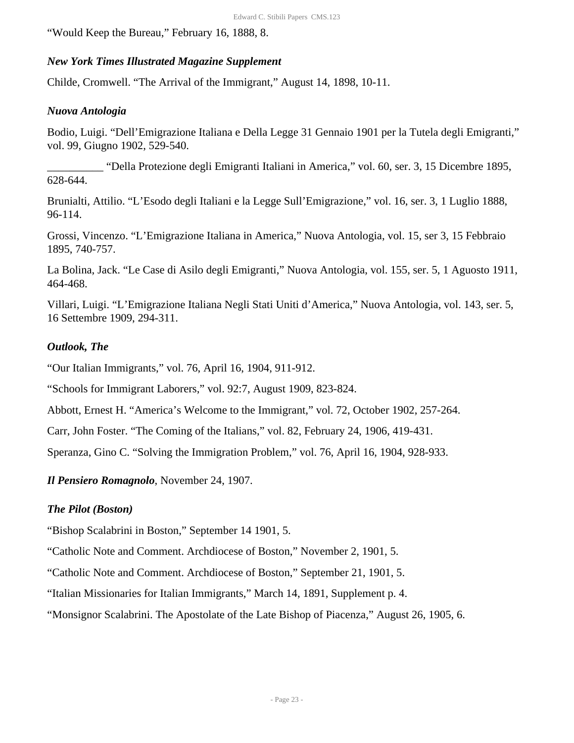"Would Keep the Bureau," February 16, 1888, 8.

# *New York Times Illustrated Magazine Supplement*

Childe, Cromwell. "The Arrival of the Immigrant," August 14, 1898, 10-11.

### *Nuova Antologia*

Bodio, Luigi. "Dell'Emigrazione Italiana e Della Legge 31 Gennaio 1901 per la Tutela degli Emigranti," vol. 99, Giugno 1902, 529-540.

\_\_\_\_\_\_\_\_\_\_ "Della Protezione degli Emigranti Italiani in America," vol. 60, ser. 3, 15 Dicembre 1895, 628-644.

Brunialti, Attilio. "L'Esodo degli Italiani e la Legge Sull'Emigrazione," vol. 16, ser. 3, 1 Luglio 1888, 96-114.

Grossi, Vincenzo. "L'Emigrazione Italiana in America," Nuova Antologia, vol. 15, ser 3, 15 Febbraio 1895, 740-757.

La Bolina, Jack. "Le Case di Asilo degli Emigranti," Nuova Antologia, vol. 155, ser. 5, 1 Aguosto 1911, 464-468.

Villari, Luigi. "L'Emigrazione Italiana Negli Stati Uniti d'America," Nuova Antologia, vol. 143, ser. 5, 16 Settembre 1909, 294-311.

# *Outlook, The*

"Our Italian Immigrants," vol. 76, April 16, 1904, 911-912.

"Schools for Immigrant Laborers," vol. 92:7, August 1909, 823-824.

Abbott, Ernest H. "America's Welcome to the Immigrant," vol. 72, October 1902, 257-264.

Carr, John Foster. "The Coming of the Italians," vol. 82, February 24, 1906, 419-431.

Speranza, Gino C. "Solving the Immigration Problem," vol. 76, April 16, 1904, 928-933.

*Il Pensiero Romagnolo*, November 24, 1907.

# *The Pilot (Boston)*

"Bishop Scalabrini in Boston," September 14 1901, 5.

"Catholic Note and Comment. Archdiocese of Boston," November 2, 1901, 5.

"Catholic Note and Comment. Archdiocese of Boston," September 21, 1901, 5.

"Italian Missionaries for Italian Immigrants," March 14, 1891, Supplement p. 4.

"Monsignor Scalabrini. The Apostolate of the Late Bishop of Piacenza," August 26, 1905, 6.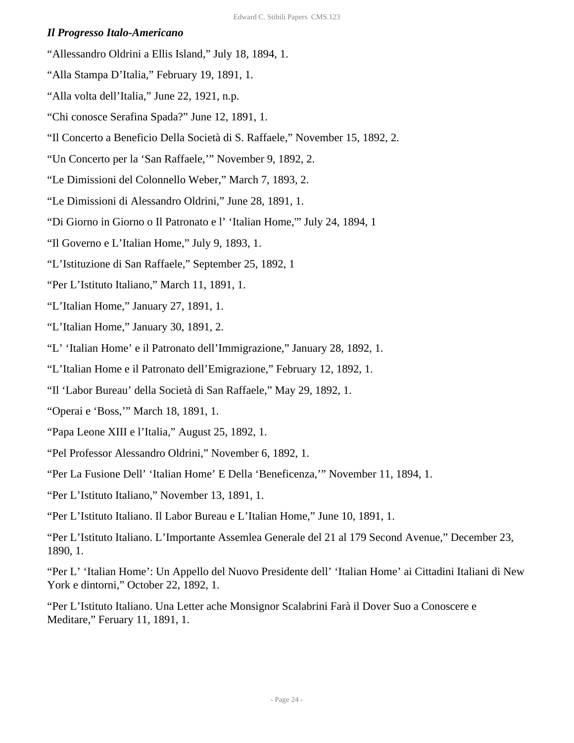#### *Il Progresso Italo-Americano*

- "Allessandro Oldrini a Ellis Island," July 18, 1894, 1.
- "Alla Stampa D'Italia," February 19, 1891, 1.
- "Alla volta dell'Italia," June 22, 1921, n.p.
- "Chi conosce Serafina Spada?" June 12, 1891, 1.
- "Il Concerto a Beneficio Della Società di S. Raffaele," November 15, 1892, 2.
- "Un Concerto per la 'San Raffaele,'" November 9, 1892, 2.
- "Le Dimissioni del Colonnello Weber," March 7, 1893, 2.
- "Le Dimissioni di Alessandro Oldrini," June 28, 1891, 1.
- "Di Giorno in Giorno o Il Patronato e l' 'Italian Home,'" July 24, 1894, 1
- "Il Governo e L'Italian Home," July 9, 1893, 1.
- "L'Istituzione di San Raffaele," September 25, 1892, 1
- "Per L'Istituto Italiano," March 11, 1891, 1.
- "L'Italian Home," January 27, 1891, 1.
- "L'Italian Home," January 30, 1891, 2.
- "L' 'Italian Home' e il Patronato dell'Immigrazione," January 28, 1892, 1.
- "L'Italian Home e il Patronato dell'Emigrazione," February 12, 1892, 1.
- "Il 'Labor Bureau' della Società di San Raffaele," May 29, 1892, 1.
- "Operai e 'Boss,'" March 18, 1891, 1.
- "Papa Leone XIII e l'Italia," August 25, 1892, 1.
- "Pel Professor Alessandro Oldrini," November 6, 1892, 1.
- "Per La Fusione Dell' 'Italian Home' E Della 'Beneficenza,'" November 11, 1894, 1.
- "Per L'Istituto Italiano," November 13, 1891, 1.

"Per L'Istituto Italiano. Il Labor Bureau e L'Italian Home," June 10, 1891, 1.

"Per L'Istituto Italiano. L'Importante Assemlea Generale del 21 al 179 Second Avenue," December 23, 1890, 1.

"Per L' 'Italian Home': Un Appello del Nuovo Presidente dell' 'Italian Home' ai Cittadini Italiani di New York e dintorni," October 22, 1892, 1.

"Per L'Istituto Italiano. Una Letter ache Monsignor Scalabrini Farà il Dover Suo a Conoscere e Meditare," Feruary 11, 1891, 1.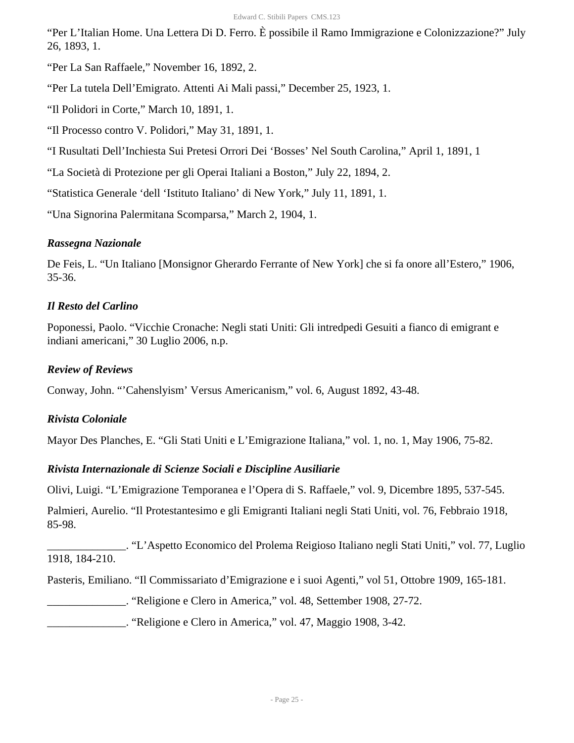"Per L'Italian Home. Una Lettera Di D. Ferro. È possibile il Ramo Immigrazione e Colonizzazione?" July 26, 1893, 1.

"Per La San Raffaele," November 16, 1892, 2.

"Per La tutela Dell'Emigrato. Attenti Ai Mali passi," December 25, 1923, 1.

"Il Polidori in Corte," March 10, 1891, 1.

"Il Processo contro V. Polidori," May 31, 1891, 1.

"I Rusultati Dell'Inchiesta Sui Pretesi Orrori Dei 'Bosses' Nel South Carolina," April 1, 1891, 1

"La Società di Protezione per gli Operai Italiani a Boston," July 22, 1894, 2.

"Statistica Generale 'dell 'Istituto Italiano' di New York," July 11, 1891, 1.

"Una Signorina Palermitana Scomparsa," March 2, 1904, 1.

# *Rassegna Nazionale*

De Feis, L. "Un Italiano [Monsignor Gherardo Ferrante of New York] che si fa onore all'Estero," 1906, 35-36.

# *Il Resto del Carlino*

Poponessi, Paolo. "Vicchie Cronache: Negli stati Uniti: Gli intredpedi Gesuiti a fianco di emigrant e indiani americani," 30 Luglio 2006, n.p.

# *Review of Reviews*

Conway, John. "'Cahenslyism' Versus Americanism," vol. 6, August 1892, 43-48.

# *Rivista Coloniale*

Mayor Des Planches, E. "Gli Stati Uniti e L'Emigrazione Italiana," vol. 1, no. 1, May 1906, 75-82.

# *Rivista Internazionale di Scienze Sociali e Discipline Ausiliarie*

Olivi, Luigi. "L'Emigrazione Temporanea e l'Opera di S. Raffaele," vol. 9, Dicembre 1895, 537-545.

Palmieri, Aurelio. "Il Protestantesimo e gli Emigranti Italiani negli Stati Uniti, vol. 76, Febbraio 1918, 85-98.

\_\_\_\_\_\_\_\_\_\_\_\_\_\_. "L'Aspetto Economico del Prolema Reigioso Italiano negli Stati Uniti," vol. 77, Luglio 1918, 184-210.

Pasteris, Emiliano. "Il Commissariato d'Emigrazione e i suoi Agenti," vol 51, Ottobre 1909, 165-181.

\_\_\_\_\_\_\_\_\_\_\_\_\_\_. "Religione e Clero in America," vol. 48, Settember 1908, 27-72.

\_\_\_\_\_\_\_\_\_\_\_\_\_\_. "Religione e Clero in America," vol. 47, Maggio 1908, 3-42.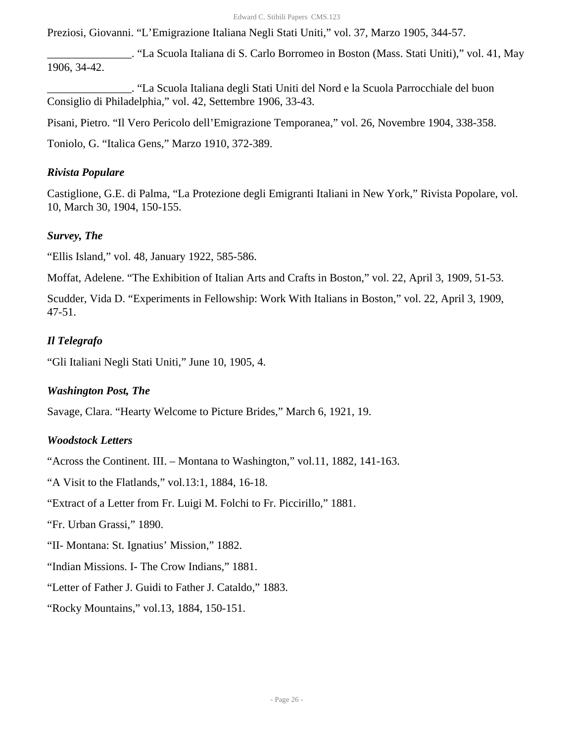Preziosi, Giovanni. "L'Emigrazione Italiana Negli Stati Uniti," vol. 37, Marzo 1905, 344-57.

\_\_\_\_\_\_\_\_\_\_\_\_\_\_\_. "La Scuola Italiana di S. Carlo Borromeo in Boston (Mass. Stati Uniti)," vol. 41, May 1906, 34-42.

\_\_\_\_\_\_\_\_\_\_\_\_\_\_\_. "La Scuola Italiana degli Stati Uniti del Nord e la Scuola Parrocchiale del buon Consiglio di Philadelphia," vol. 42, Settembre 1906, 33-43.

Pisani, Pietro. "Il Vero Pericolo dell'Emigrazione Temporanea," vol. 26, Novembre 1904, 338-358.

Toniolo, G. "Italica Gens," Marzo 1910, 372-389.

#### *Rivista Populare*

Castiglione, G.E. di Palma, "La Protezione degli Emigranti Italiani in New York," Rivista Popolare, vol. 10, March 30, 1904, 150-155.

#### *Survey, The*

"Ellis Island," vol. 48, January 1922, 585-586.

Moffat, Adelene. "The Exhibition of Italian Arts and Crafts in Boston," vol. 22, April 3, 1909, 51-53.

Scudder, Vida D. "Experiments in Fellowship: Work With Italians in Boston," vol. 22, April 3, 1909, 47-51.

#### *Il Telegrafo*

"Gli Italiani Negli Stati Uniti," June 10, 1905, 4.

#### *Washington Post, The*

Savage, Clara. "Hearty Welcome to Picture Brides," March 6, 1921, 19.

#### *Woodstock Letters*

"Across the Continent. III. – Montana to Washington," vol.11, 1882, 141-163.

"A Visit to the Flatlands," vol.13:1, 1884, 16-18.

"Extract of a Letter from Fr. Luigi M. Folchi to Fr. Piccirillo," 1881.

"Fr. Urban Grassi," 1890.

"II- Montana: St. Ignatius' Mission," 1882.

"Indian Missions. I- The Crow Indians," 1881.

"Letter of Father J. Guidi to Father J. Cataldo," 1883.

"Rocky Mountains," vol.13, 1884, 150-151.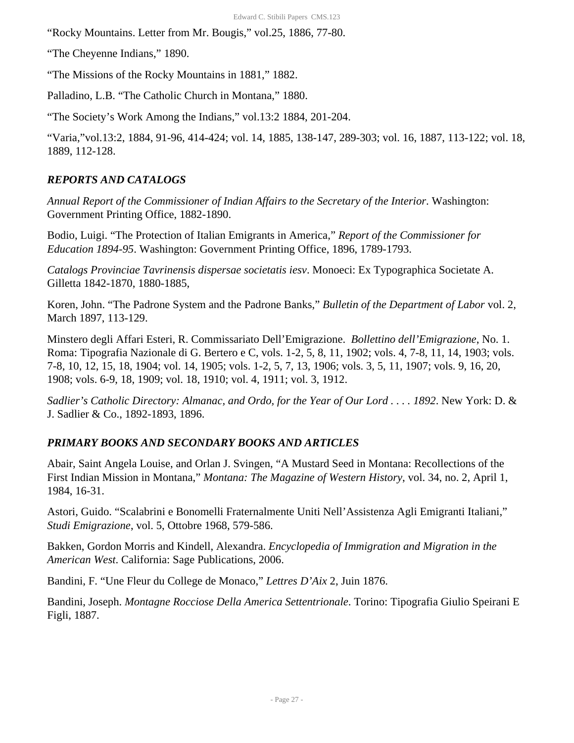"Rocky Mountains. Letter from Mr. Bougis," vol.25, 1886, 77-80.

"The Cheyenne Indians," 1890.

"The Missions of the Rocky Mountains in 1881," 1882.

Palladino, L.B. "The Catholic Church in Montana," 1880.

"The Society's Work Among the Indians," vol.13:2 1884, 201-204.

"Varia,"vol.13:2, 1884, 91-96, 414-424; vol. 14, 1885, 138-147, 289-303; vol. 16, 1887, 113-122; vol. 18, 1889, 112-128.

# *REPORTS AND CATALOGS*

*Annual Report of the Commissioner of Indian Affairs to the Secretary of the Interior*. Washington: Government Printing Office, 1882-1890.

Bodio, Luigi. "The Protection of Italian Emigrants in America," *Report of the Commissioner for Education 1894-95*. Washington: Government Printing Office, 1896, 1789-1793.

*Catalogs Provinciae Tavrinensis dispersae societatis iesv*. Monoeci: Ex Typographica Societate A. Gilletta 1842-1870, 1880-1885,

Koren, John. "The Padrone System and the Padrone Banks," *Bulletin of the Department of Labor* vol. 2, March 1897, 113-129.

Minstero degli Affari Esteri, R. Commissariato Dell'Emigrazione. *Bollettino dell'Emigrazione*, No. 1. Roma: Tipografia Nazionale di G. Bertero e C, vols. 1-2, 5, 8, 11, 1902; vols. 4, 7-8, 11, 14, 1903; vols. 7-8, 10, 12, 15, 18, 1904; vol. 14, 1905; vols. 1-2, 5, 7, 13, 1906; vols. 3, 5, 11, 1907; vols. 9, 16, 20, 1908; vols. 6-9, 18, 1909; vol. 18, 1910; vol. 4, 1911; vol. 3, 1912.

*Sadlier's Catholic Directory: Almanac, and Ordo, for the Year of Our Lord . . . . 1892*. New York: D. & J. Sadlier & Co., 1892-1893, 1896.

# *PRIMARY BOOKS AND SECONDARY BOOKS AND ARTICLES*

Abair, Saint Angela Louise, and Orlan J. Svingen, "A Mustard Seed in Montana: Recollections of the First Indian Mission in Montana," *Montana: The Magazine of Western History*, vol. 34, no. 2, April 1, 1984, 16-31.

Astori, Guido. "Scalabrini e Bonomelli Fraternalmente Uniti Nell'Assistenza Agli Emigranti Italiani," *Studi Emigrazione*, vol. 5, Ottobre 1968, 579-586.

Bakken, Gordon Morris and Kindell, Alexandra. *Encyclopedia of Immigration and Migration in the American West*. California: Sage Publications, 2006.

Bandini, F. "Une Fleur du College de Monaco," *Lettres D'Aix* 2, Juin 1876.

Bandini, Joseph. *Montagne Rocciose Della America Settentrionale*. Torino: Tipografia Giulio Speirani E Figli, 1887.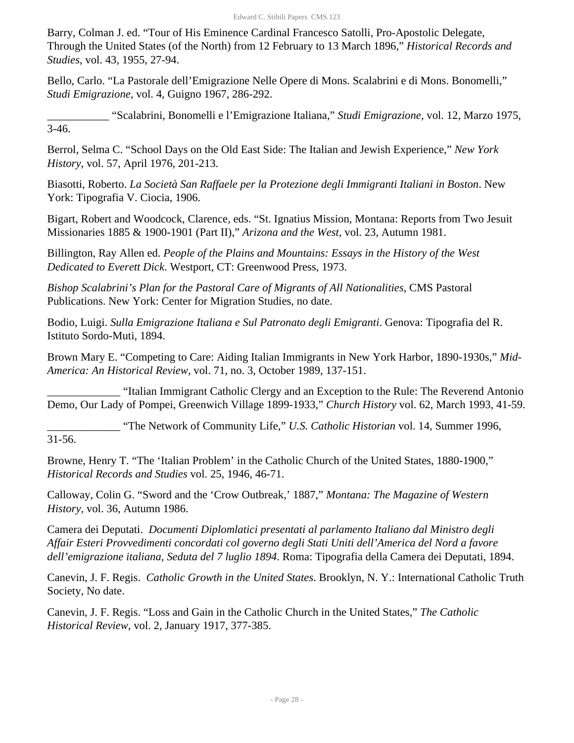Barry, Colman J. ed. "Tour of His Eminence Cardinal Francesco Satolli, Pro-Apostolic Delegate, Through the United States (of the North) from 12 February to 13 March 1896," *Historical Records and Studies*, vol. 43, 1955, 27-94.

Bello, Carlo. "La Pastorale dell'Emigrazione Nelle Opere di Mons. Scalabrini e di Mons. Bonomelli," *Studi Emigrazione*, vol. 4, Guigno 1967, 286-292.

\_\_\_\_\_\_\_\_\_\_\_ "Scalabrini, Bonomelli e l'Emigrazione Italiana," *Studi Emigrazione*, vol. 12, Marzo 1975, 3-46.

Berrol, Selma C. "School Days on the Old East Side: The Italian and Jewish Experience," *New York History*, vol. 57, April 1976, 201-213.

Biasotti, Roberto. *La Società San Raffaele per la Protezione degli Immigranti Italiani in Boston*. New York: Tipografia V. Ciocia, 1906.

Bigart, Robert and Woodcock, Clarence, eds. "St. Ignatius Mission, Montana: Reports from Two Jesuit Missionaries 1885 & 1900-1901 (Part II)," *Arizona and the West*, vol. 23, Autumn 1981.

Billington, Ray Allen ed. *People of the Plains and Mountains: Essays in the History of the West Dedicated to Everett Dick*. Westport, CT: Greenwood Press, 1973.

*Bishop Scalabrini's Plan for the Pastoral Care of Migrants of All Nationalities*, CMS Pastoral Publications. New York: Center for Migration Studies, no date.

Bodio, Luigi. *Sulla Emigrazione Italiana e Sul Patronato degli Emigranti*. Genova: Tipografia del R. Istituto Sordo-Muti, 1894.

Brown Mary E. "Competing to Care: Aiding Italian Immigrants in New York Harbor, 1890-1930s," *Mid-America: An Historical Review*, vol. 71, no. 3, October 1989, 137-151.

\_\_\_\_\_\_\_\_\_\_\_\_\_ "Italian Immigrant Catholic Clergy and an Exception to the Rule: The Reverend Antonio Demo, Our Lady of Pompei, Greenwich Village 1899-1933," *Church History* vol. 62, March 1993, 41-59.

\_\_\_\_\_\_\_\_\_\_\_\_\_ "The Network of Community Life," *U.S. Catholic Historian* vol. 14, Summer 1996, 31-56.

Browne, Henry T. "The 'Italian Problem' in the Catholic Church of the United States, 1880-1900," *Historical Records and Studies* vol. 25, 1946, 46-71.

Calloway, Colin G. "Sword and the 'Crow Outbreak,' 1887," *Montana: The Magazine of Western History,* vol. 36, Autumn 1986.

Camera dei Deputati. *Documenti Diplomlatici presentati al parlamento Italiano dal Ministro degli Affair Esteri Provvedimenti concordati col governo degli Stati Uniti dell'America del Nord a favore dell'emigrazione italiana, Seduta del 7 luglio 1894*. Roma: Tipografia della Camera dei Deputati, 1894.

Canevin, J. F. Regis. *Catholic Growth in the United States*. Brooklyn, N. Y.: International Catholic Truth Society, No date.

Canevin, J. F. Regis. "Loss and Gain in the Catholic Church in the United States," *The Catholic Historical Review*, vol. 2, January 1917, 377-385.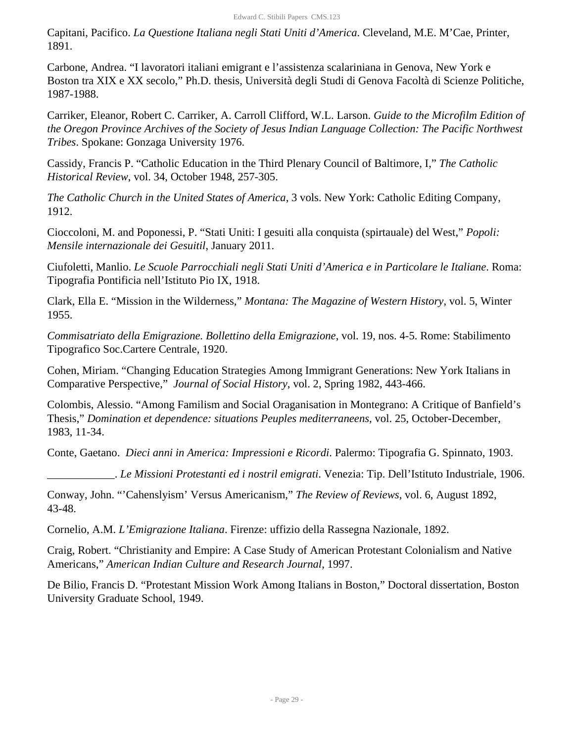Capitani, Pacifico. *La Questione Italiana negli Stati Uniti d'America*. Cleveland, M.E. M'Cae, Printer, 1891.

Carbone, Andrea. "I lavoratori italiani emigrant e l'assistenza scalariniana in Genova, New York e Boston tra XIX e XX secolo," Ph.D. thesis, Università degli Studi di Genova Facoltà di Scienze Politiche, 1987-1988.

Carriker, Eleanor, Robert C. Carriker, A. Carroll Clifford, W.L. Larson. *Guide to the Microfilm Edition of the Oregon Province Archives of the Society of Jesus Indian Language Collection: The Pacific Northwest Tribes*. Spokane: Gonzaga University 1976.

Cassidy, Francis P. "Catholic Education in the Third Plenary Council of Baltimore, I," *The Catholic Historical Review*, vol. 34, October 1948, 257-305.

*The Catholic Church in the United States of America*, 3 vols. New York: Catholic Editing Company, 1912.

Cioccoloni, M. and Poponessi, P. "Stati Uniti: I gesuiti alla conquista (spirtauale) del West," *Popoli: Mensile internazionale dei Gesuitil*, January 2011.

Ciufoletti, Manlio. *Le Scuole Parrocchiali negli Stati Uniti d'America e in Particolare le Italiane*. Roma: Tipografia Pontificia nell'Istituto Pio IX, 1918.

Clark, Ella E. "Mission in the Wilderness," *Montana: The Magazine of Western History*, vol. 5, Winter 1955.

*Commisatriato della Emigrazione. Bollettino della Emigrazione*, vol. 19, nos. 4-5. Rome: Stabilimento Tipografico Soc.Cartere Centrale, 1920.

Cohen, Miriam. "Changing Education Strategies Among Immigrant Generations: New York Italians in Comparative Perspective," *Journal of Social History*, vol. 2, Spring 1982, 443-466.

Colombis, Alessio. "Among Familism and Social Oraganisation in Montegrano: A Critique of Banfield's Thesis," *Domination et dependence: situations Peuples mediterraneens*, vol. 25, October-December, 1983, 11-34.

Conte, Gaetano. *Dieci anni in America: Impressioni e Ricordi*. Palermo: Tipografia G. Spinnato, 1903.

\_\_\_\_\_\_\_\_\_\_\_\_. *Le Missioni Protestanti ed i nostril emigrati*. Venezia: Tip. Dell'Istituto Industriale, 1906.

Conway, John. "'Cahenslyism' Versus Americanism," *The Review of Reviews*, vol. 6, August 1892, 43-48.

Cornelio, A.M. *L'Emigrazione Italiana*. Firenze: uffizio della Rassegna Nazionale, 1892.

Craig, Robert. "Christianity and Empire: A Case Study of American Protestant Colonialism and Native Americans," *American Indian Culture and Research Journal*, 1997.

De Bilio, Francis D. "Protestant Mission Work Among Italians in Boston," Doctoral dissertation, Boston University Graduate School, 1949.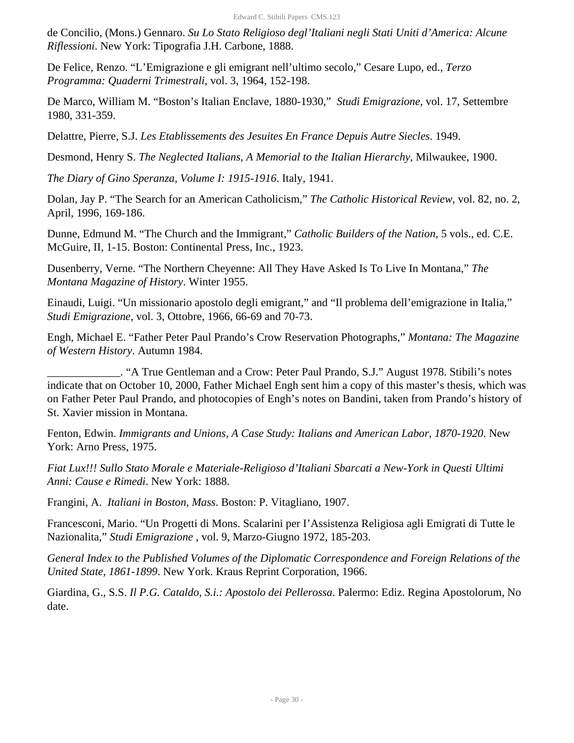de Concilio, (Mons.) Gennaro. *Su Lo Stato Religioso degl'Italiani negli Stati Uniti d'America: Alcune Riflessioni*. New York: Tipografia J.H. Carbone, 1888.

De Felice, Renzo. "L'Emigrazione e gli emigrant nell'ultimo secolo," Cesare Lupo, ed., *Terzo Programma: Quaderni Trimestrali*, vol. 3, 1964, 152-198.

De Marco, William M. "Boston's Italian Enclave, 1880-1930," *Studi Emigrazione*, vol. 17, Settembre 1980, 331-359.

Delattre, Pierre, S.J. *Les Etablissements des Jesuites En France Depuis Autre Siecles*. 1949.

Desmond, Henry S. *The Neglected Italians, A Memorial to the Italian Hierarchy*, Milwaukee, 1900.

*The Diary of Gino Speranza, Volume I: 1915-1916*. Italy, 1941.

Dolan, Jay P. "The Search for an American Catholicism," *The Catholic Historical Review*, vol. 82, no. 2, April, 1996, 169-186.

Dunne, Edmund M. "The Church and the Immigrant," *Catholic Builders of the Nation,* 5 vols., ed. C.E. McGuire, II, 1-15. Boston: Continental Press, Inc., 1923.

Dusenberry, Verne. "The Northern Cheyenne: All They Have Asked Is To Live In Montana," *The Montana Magazine of History*. Winter 1955.

Einaudi, Luigi. "Un missionario apostolo degli emigrant," and "Il problema dell'emigrazione in Italia," *Studi Emigrazione*, vol. 3, Ottobre, 1966, 66-69 and 70-73.

Engh, Michael E. "Father Peter Paul Prando's Crow Reservation Photographs," *Montana: The Magazine of Western History*. Autumn 1984.

\_\_\_\_\_\_\_\_\_\_\_\_\_. "A True Gentleman and a Crow: Peter Paul Prando, S.J." August 1978. Stibili's notes indicate that on October 10, 2000, Father Michael Engh sent him a copy of this master's thesis, which was on Father Peter Paul Prando, and photocopies of Engh's notes on Bandini, taken from Prando's history of St. Xavier mission in Montana.

Fenton, Edwin. *Immigrants and Unions, A Case Study: Italians and American Labor, 1870-1920*. New York: Arno Press, 1975.

*Fiat Lux!!! Sullo Stato Morale e Materiale-Religioso d'Italiani Sbarcati a New-York in Questi Ultimi Anni: Cause e Rimedi*. New York: 1888.

Frangini, A. *Italiani in Boston, Mass*. Boston: P. Vitagliano, 1907.

Francesconi, Mario. "Un Progetti di Mons. Scalarini per I'Assistenza Religiosa agli Emigrati di Tutte le Nazionalita," *Studi Emigrazione* , vol. 9, Marzo-Giugno 1972, 185-203.

*General Index to the Published Volumes of the Diplomatic Correspondence and Foreign Relations of the United State, 1861-1899*. New York. Kraus Reprint Corporation, 1966.

Giardina, G., S.S. *Il P.G. Cataldo, S.i.: Apostolo dei Pellerossa*. Palermo: Ediz. Regina Apostolorum, No date.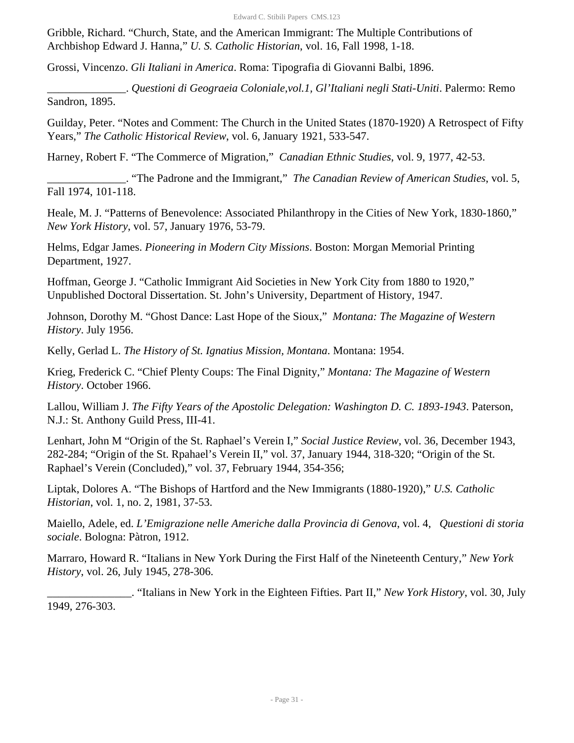Gribble, Richard. "Church, State, and the American Immigrant: The Multiple Contributions of Archbishop Edward J. Hanna," *U. S. Catholic Historian*, vol. 16, Fall 1998, 1-18.

Grossi, Vincenzo. *Gli Italiani in America*. Roma: Tipografia di Giovanni Balbi, 1896.

\_\_\_\_\_\_\_\_\_\_\_\_\_\_. *Questioni di Geograeia Coloniale,vol.1, Gl'Italiani negli Stati-Uniti*. Palermo: Remo Sandron, 1895.

Guilday, Peter. "Notes and Comment: The Church in the United States (1870-1920) A Retrospect of Fifty Years," *The Catholic Historical Review*, vol. 6, January 1921, 533-547.

Harney, Robert F. "The Commerce of Migration," *Canadian Ethnic Studies*, vol. 9, 1977, 42-53.

\_\_\_\_\_\_\_\_\_\_\_\_\_\_. "The Padrone and the Immigrant," *The Canadian Review of American Studies*, vol. 5, Fall 1974, 101-118.

Heale, M. J. "Patterns of Benevolence: Associated Philanthropy in the Cities of New York, 1830-1860," *New York History*, vol. 57, January 1976, 53-79.

Helms, Edgar James. *Pioneering in Modern City Missions*. Boston: Morgan Memorial Printing Department, 1927.

Hoffman, George J. "Catholic Immigrant Aid Societies in New York City from 1880 to 1920," Unpublished Doctoral Dissertation. St. John's University, Department of History, 1947.

Johnson, Dorothy M. "Ghost Dance: Last Hope of the Sioux," *Montana: The Magazine of Western History*. July 1956.

Kelly, Gerlad L. *The History of St. Ignatius Mission, Montana*. Montana: 1954.

Krieg, Frederick C. "Chief Plenty Coups: The Final Dignity," *Montana: The Magazine of Western History*. October 1966.

Lallou, William J. *The Fifty Years of the Apostolic Delegation: Washington D. C. 1893-1943*. Paterson, N.J.: St. Anthony Guild Press, III-41.

Lenhart, John M "Origin of the St. Raphael's Verein I," *Social Justice Review*, vol. 36, December 1943, 282-284; "Origin of the St. Rpahael's Verein II," vol. 37, January 1944, 318-320; "Origin of the St. Raphael's Verein (Concluded)," vol. 37, February 1944, 354-356;

Liptak, Dolores A. "The Bishops of Hartford and the New Immigrants (1880-1920)," *U.S. Catholic Historian*, vol. 1, no. 2, 1981, 37-53.

Maiello, Adele, ed. *L'Emigrazione nelle Americhe dalla Provincia di Genova*, vol. 4, *Questioni di storia sociale*. Bologna: Pàtron, 1912.

Marraro, Howard R. "Italians in New York During the First Half of the Nineteenth Century," *New York History*, vol. 26, July 1945, 278-306.

\_\_\_\_\_\_\_\_\_\_\_\_\_\_\_. "Italians in New York in the Eighteen Fifties. Part II," *New York History*, vol. 30, July 1949, 276-303.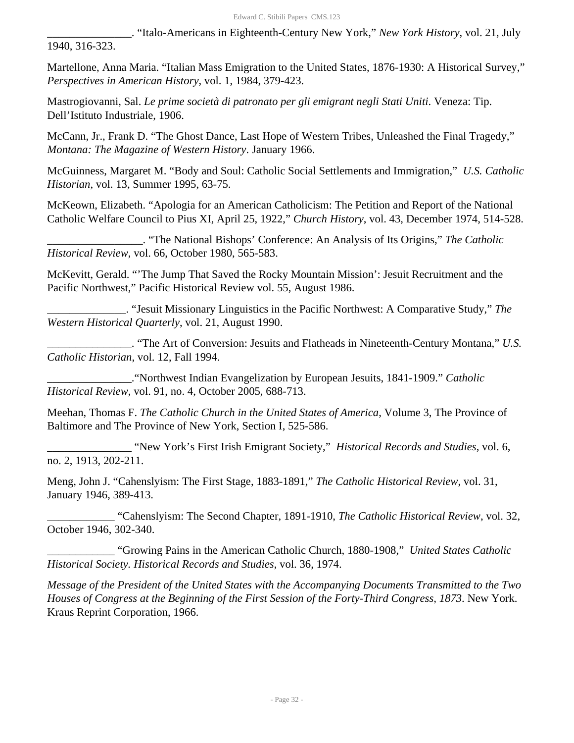\_\_\_\_\_\_\_\_\_\_\_\_\_\_\_. "Italo-Americans in Eighteenth-Century New York," *New York History*, vol. 21, July 1940, 316-323.

Martellone, Anna Maria. "Italian Mass Emigration to the United States, 1876-1930: A Historical Survey," *Perspectives in American History*, vol. 1, 1984, 379-423.

Mastrogiovanni, Sal. *Le prime società di patronato per gli emigrant negli Stati Uniti*. Veneza: Tip. Dell'Istituto Industriale, 1906.

McCann, Jr., Frank D. "The Ghost Dance, Last Hope of Western Tribes, Unleashed the Final Tragedy," *Montana: The Magazine of Western History*. January 1966.

McGuinness, Margaret M. "Body and Soul: Catholic Social Settlements and Immigration," *U.S. Catholic Historian*, vol. 13, Summer 1995, 63-75.

McKeown, Elizabeth. "Apologia for an American Catholicism: The Petition and Report of the National Catholic Welfare Council to Pius XI, April 25, 1922," *Church History*, vol. 43, December 1974, 514-528.

\_\_\_\_\_\_\_\_\_\_\_\_\_\_\_\_\_. "The National Bishops' Conference: An Analysis of Its Origins," *The Catholic Historical Review*, vol. 66, October 1980, 565-583.

McKevitt, Gerald. "'The Jump That Saved the Rocky Mountain Mission': Jesuit Recruitment and the Pacific Northwest," Pacific Historical Review vol. 55, August 1986.

\_\_\_\_\_\_\_\_\_\_\_\_\_\_. "Jesuit Missionary Linguistics in the Pacific Northwest: A Comparative Study," *The Western Historical Quarterly*, vol. 21, August 1990.

\_\_\_\_\_\_\_\_\_\_\_\_\_\_\_. "The Art of Conversion: Jesuits and Flatheads in Nineteenth-Century Montana," *U.S. Catholic Historian*, vol. 12, Fall 1994.

\_\_\_\_\_\_\_\_\_\_\_\_\_\_\_."Northwest Indian Evangelization by European Jesuits, 1841-1909." *Catholic Historical Review*, vol. 91, no. 4, October 2005, 688-713.

Meehan, Thomas F. *The Catholic Church in the United States of America*, Volume 3, The Province of Baltimore and The Province of New York, Section I, 525-586.

\_\_\_\_\_\_\_\_\_\_\_\_\_\_\_ "New York's First Irish Emigrant Society," *Historical Records and Studies*, vol. 6, no. 2, 1913, 202-211.

Meng, John J. "Cahenslyism: The First Stage, 1883-1891," *The Catholic Historical Review*, vol. 31, January 1946, 389-413.

\_\_\_\_\_\_\_\_\_\_\_\_ "Cahenslyism: The Second Chapter, 1891-1910, *The Catholic Historical Review*, vol. 32, October 1946, 302-340.

\_\_\_\_\_\_\_\_\_\_\_\_ "Growing Pains in the American Catholic Church, 1880-1908," *United States Catholic Historical Society. Historical Records and Studies*, vol. 36, 1974.

*Message of the President of the United States with the Accompanying Documents Transmitted to the Two Houses of Congress at the Beginning of the First Session of the Forty-Third Congress, 1873*. New York. Kraus Reprint Corporation, 1966.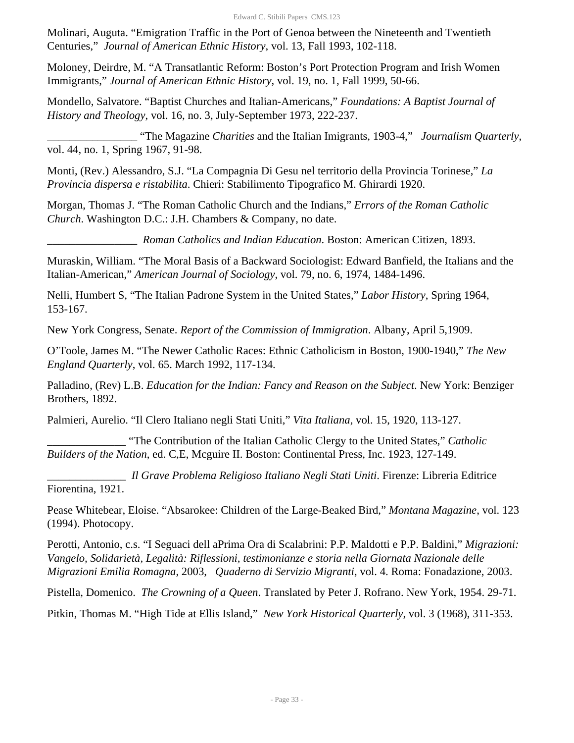Molinari, Auguta. "Emigration Traffic in the Port of Genoa between the Nineteenth and Twentieth Centuries," *Journal of American Ethnic History*, vol. 13, Fall 1993, 102-118.

Moloney, Deirdre, M. "A Transatlantic Reform: Boston's Port Protection Program and Irish Women Immigrants," *Journal of American Ethnic History*, vol. 19, no. 1, Fall 1999, 50-66.

Mondello, Salvatore. "Baptist Churches and Italian-Americans," *Foundations: A Baptist Journal of History and Theology*, vol. 16, no. 3, July-September 1973, 222-237.

\_\_\_\_\_\_\_\_\_\_\_\_\_\_\_\_ "The Magazine *Charities* and the Italian Imigrants, 1903-4," *Journalism Quarterly*, vol. 44, no. 1, Spring 1967, 91-98.

Monti, (Rev.) Alessandro, S.J. "La Compagnia Di Gesu nel territorio della Provincia Torinese," *La Provincia dispersa e ristabilita*. Chieri: Stabilimento Tipografico M. Ghirardi 1920.

Morgan, Thomas J. "The Roman Catholic Church and the Indians," *Errors of the Roman Catholic Church*. Washington D.C.: J.H. Chambers & Company, no date.

\_\_\_\_\_\_\_\_\_\_\_\_\_\_\_\_ *Roman Catholics and Indian Education*. Boston: American Citizen, 1893.

Muraskin, William. "The Moral Basis of a Backward Sociologist: Edward Banfield, the Italians and the Italian-American," *American Journal of Sociology*, vol. 79, no. 6, 1974, 1484-1496.

Nelli, Humbert S, "The Italian Padrone System in the United States," *Labor History*, Spring 1964, 153-167.

New York Congress, Senate. *Report of the Commission of Immigration*. Albany, April 5,1909.

O'Toole, James M. "The Newer Catholic Races: Ethnic Catholicism in Boston, 1900-1940," *The New England Quarterly*, vol. 65. March 1992, 117-134.

Palladino, (Rev) L.B. *Education for the Indian: Fancy and Reason on the Subject*. New York: Benziger Brothers, 1892.

Palmieri, Aurelio. "Il Clero Italiano negli Stati Uniti," *Vita Italiana*, vol. 15, 1920, 113-127.

\_\_\_\_\_\_\_\_\_\_\_\_\_\_ "The Contribution of the Italian Catholic Clergy to the United States," *Catholic Builders of the Nation*, ed. C,E, Mcguire II. Boston: Continental Press, Inc. 1923, 127-149.

\_\_\_\_\_\_\_\_\_\_\_\_\_\_ *Il Grave Problema Religioso Italiano Negli Stati Uniti*. Firenze: Libreria Editrice Fiorentina, 1921.

Pease Whitebear, Eloise. "Absarokee: Children of the Large-Beaked Bird," *Montana Magazine*, vol. 123 (1994). Photocopy.

Perotti, Antonio, c.s. "I Seguaci dell aPrima Ora di Scalabrini: P.P. Maldotti e P.P. Baldini," *Migrazioni: Vangelo, Solidarietà, Legalità: Riflessioni, testimonianze e storia nella Giornata Nazionale delle Migrazioni Emilia Romagna*, 2003, *Quaderno di Servizio Migranti*, vol. 4. Roma: Fonadazione, 2003.

Pistella, Domenico. *The Crowning of a Queen*. Translated by Peter J. Rofrano. New York, 1954. 29-71.

Pitkin, Thomas M. "High Tide at Ellis Island," *New York Historical Quarterly*, vol. 3 (1968), 311-353.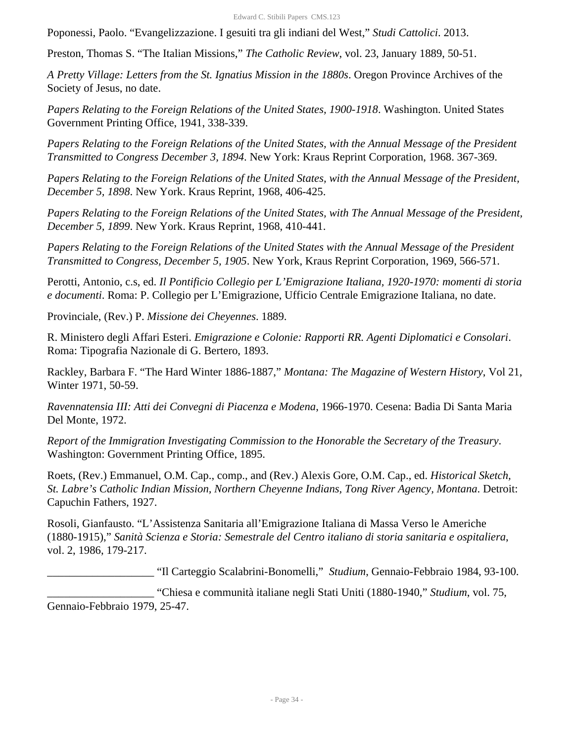Poponessi, Paolo. "Evangelizzazione. I gesuiti tra gli indiani del West," *Studi Cattolici*. 2013.

Preston, Thomas S. "The Italian Missions," *The Catholic Review*, vol. 23, January 1889, 50-51.

*A Pretty Village: Letters from the St. Ignatius Mission in the 1880s*. Oregon Province Archives of the Society of Jesus, no date.

*Papers Relating to the Foreign Relations of the United States, 1900-1918*. Washington. United States Government Printing Office, 1941, 338-339.

*Papers Relating to the Foreign Relations of the United States, with the Annual Message of the President Transmitted to Congress December 3, 1894*. New York: Kraus Reprint Corporation, 1968. 367-369.

*Papers Relating to the Foreign Relations of the United States, with the Annual Message of the President, December 5, 1898*. New York. Kraus Reprint, 1968, 406-425.

*Papers Relating to the Foreign Relations of the United States, with The Annual Message of the President, December 5, 1899*. New York. Kraus Reprint, 1968, 410-441.

*Papers Relating to the Foreign Relations of the United States with the Annual Message of the President Transmitted to Congress, December 5, 1905*. New York, Kraus Reprint Corporation, 1969, 566-571.

Perotti, Antonio, c.s, ed. *Il Pontificio Collegio per L'Emigrazione Italiana, 1920-1970: momenti di storia e documenti*. Roma: P. Collegio per L'Emigrazione, Ufficio Centrale Emigrazione Italiana, no date.

Provinciale, (Rev.) P. *Missione dei Cheyennes*. 1889.

R. Ministero degli Affari Esteri. *Emigrazione e Colonie: Rapporti RR. Agenti Diplomatici e Consolari*. Roma: Tipografia Nazionale di G. Bertero, 1893.

Rackley, Barbara F. "The Hard Winter 1886-1887," *Montana: The Magazine of Western History*, Vol 21, Winter 1971, 50-59.

*Ravennatensia III: Atti dei Convegni di Piacenza e Modena*, 1966-1970. Cesena: Badia Di Santa Maria Del Monte, 1972.

*Report of the Immigration Investigating Commission to the Honorable the Secretary of the Treasury*. Washington: Government Printing Office, 1895.

Roets, (Rev.) Emmanuel, O.M. Cap., comp., and (Rev.) Alexis Gore, O.M. Cap., ed. *Historical Sketch, St. Labre's Catholic Indian Mission, Northern Cheyenne Indians, Tong River Agency, Montana*. Detroit: Capuchin Fathers, 1927.

Rosoli, Gianfausto. "L'Assistenza Sanitaria all'Emigrazione Italiana di Massa Verso le Americhe (1880-1915)," *Sanità Scienza e Storia: Semestrale del Centro italiano di storia sanitaria e ospitaliera*, vol. 2, 1986, 179-217.

\_\_\_\_\_\_\_\_\_\_\_\_\_\_\_\_\_\_\_ "Il Carteggio Scalabrini-Bonomelli," *Studium*, Gennaio-Febbraio 1984, 93-100.

\_\_\_\_\_\_\_\_\_\_\_\_\_\_\_\_\_\_\_ "Chiesa e communità italiane negli Stati Uniti (1880-1940," *Studium*, vol. 75, Gennaio-Febbraio 1979, 25-47.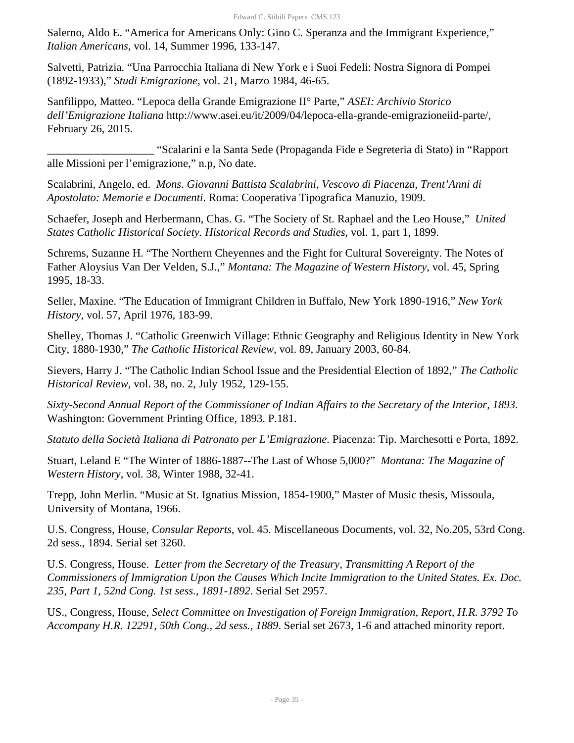Salerno, Aldo E. "America for Americans Only: Gino C. Speranza and the Immigrant Experience," *Italian Americans*, vol. 14, Summer 1996, 133-147.

Salvetti, Patrizia. "Una Parrocchia Italiana di New York e i Suoi Fedeli: Nostra Signora di Pompei (1892-1933)," *Studi Emigrazione*, vol. 21, Marzo 1984, 46-65.

Sanfilippo, Matteo. "Lepoca della Grande Emigrazione II° Parte," *ASEI: Archivio Storico dell'Emigrazione Italiana* http://www.asei.eu/it/2009/04/lepoca-ella-grande-emigrazioneiid-parte/, February 26, 2015.

\_\_\_\_\_\_\_\_\_\_\_\_\_\_\_\_\_\_\_ "Scalarini e la Santa Sede (Propaganda Fide e Segreteria di Stato) in "Rapport alle Missioni per l'emigrazione," n.p, No date.

Scalabrini, Angelo, ed. *Mons. Giovanni Battista Scalabrini, Vescovo di Piacenza, Trent'Anni di Apostolato: Memorie e Documenti*. Roma: Cooperativa Tipografica Manuzio, 1909.

Schaefer, Joseph and Herbermann, Chas. G. "The Society of St. Raphael and the Leo House," *United States Catholic Historical Society. Historical Records and Studies*, vol. 1, part 1, 1899.

Schrems, Suzanne H. "The Northern Cheyennes and the Fight for Cultural Sovereignty. The Notes of Father Aloysius Van Der Velden, S.J.," *Montana: The Magazine of Western History*, vol. 45, Spring 1995, 18-33.

Seller, Maxine. "The Education of Immigrant Children in Buffalo, New York 1890-1916," *New York History,* vol. 57, April 1976, 183-99.

Shelley, Thomas J. "Catholic Greenwich Village: Ethnic Geography and Religious Identity in New York City, 1880-1930," *The Catholic Historical Review*, vol. 89, January 2003, 60-84.

Sievers, Harry J. "The Catholic Indian School Issue and the Presidential Election of 1892," *The Catholic Historical Review*, vol. 38, no. 2, July 1952, 129-155.

*Sixty-Second Annual Report of the Commissioner of Indian Affairs to the Secretary of the Interior, 1893*. Washington: Government Printing Office, 1893. P.181.

*Statuto della Società Italiana di Patronato per L'Emigrazione*. Piacenza: Tip. Marchesotti e Porta, 1892.

Stuart, Leland E "The Winter of 1886-1887--The Last of Whose 5,000?" *Montana: The Magazine of Western History*, vol. 38, Winter 1988, 32-41.

Trepp, John Merlin. "Music at St. Ignatius Mission, 1854-1900," Master of Music thesis, Missoula, University of Montana, 1966.

U.S. Congress, House, *Consular Reports*, vol. 45. Miscellaneous Documents, vol. 32, No.205, 53rd Cong. 2d sess., 1894. Serial set 3260.

U.S. Congress, House. *Letter from the Secretary of the Treasury, Transmitting A Report of the Commissioners of Immigration Upon the Causes Which Incite Immigration to the United States. Ex. Doc. 235, Part 1, 52nd Cong. 1st sess., 1891-1892*. Serial Set 2957.

US., Congress, House, *Select Committee on Investigation of Foreign Immigration, Report, H.R. 3792 To Accompany H.R. 12291, 50th Cong., 2d sess., 1889*. Serial set 2673, 1-6 and attached minority report.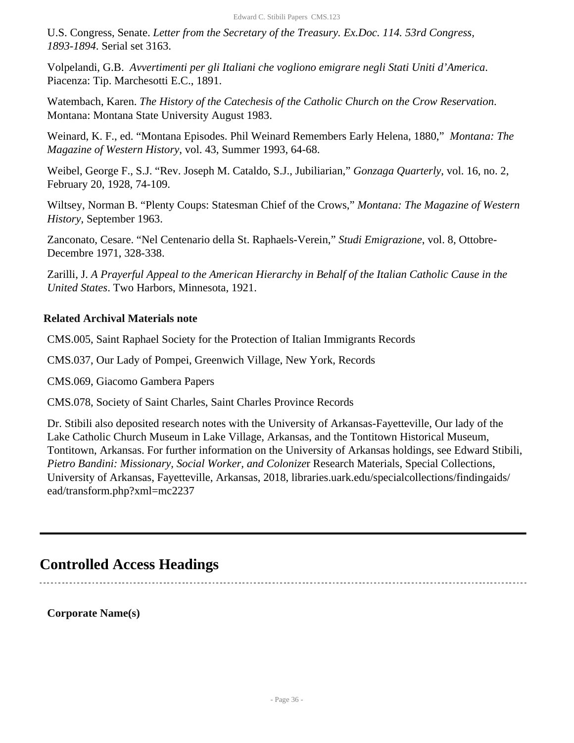U.S. Congress, Senate. *Letter from the Secretary of the Treasury. Ex.Doc. 114. 53rd Congress, 1893-1894*. Serial set 3163.

Volpelandi, G.B. *Avvertimenti per gli Italiani che vogliono emigrare negli Stati Uniti d'America*. Piacenza: Tip. Marchesotti E.C., 1891.

Watembach, Karen. *The History of the Catechesis of the Catholic Church on the Crow Reservation*. Montana: Montana State University August 1983.

Weinard, K. F., ed. "Montana Episodes. Phil Weinard Remembers Early Helena, 1880," *Montana: The Magazine of Western History*, vol. 43, Summer 1993, 64-68.

Weibel, George F., S.J. "Rev. Joseph M. Cataldo, S.J., Jubiliarian," *Gonzaga Quarterly*, vol. 16, no. 2, February 20, 1928, 74-109.

Wiltsey, Norman B. "Plenty Coups: Statesman Chief of the Crows," *Montana: The Magazine of Western History*, September 1963.

Zanconato, Cesare. "Nel Centenario della St. Raphaels-Verein," *Studi Emigrazione*, vol. 8, Ottobre-Decembre 1971, 328-338.

Zarilli, J. *A Prayerful Appeal to the American Hierarchy in Behalf of the Italian Catholic Cause in the United States*. Two Harbors, Minnesota, 1921.

# **Related Archival Materials note**

CMS.005, Saint Raphael Society for the Protection of Italian Immigrants Records

CMS.037, Our Lady of Pompei, Greenwich Village, New York, Records

CMS.069, Giacomo Gambera Papers

CMS.078, Society of Saint Charles, Saint Charles Province Records

Dr. Stibili also deposited research notes with the University of Arkansas-Fayetteville, Our lady of the Lake Catholic Church Museum in Lake Village, Arkansas, and the Tontitown Historical Museum, Tontitown, Arkansas. For further information on the University of Arkansas holdings, see Edward Stibili, *Pietro Bandini: Missionary, Social Worker, and Colonize*r Research Materials, Special Collections, University of Arkansas, Fayetteville, Arkansas, 2018, libraries.uark.edu/specialcollections/findingaids/ ead/transform.php?xml=mc2237

# <span id="page-35-0"></span>**Controlled Access Headings**

**Corporate Name(s)**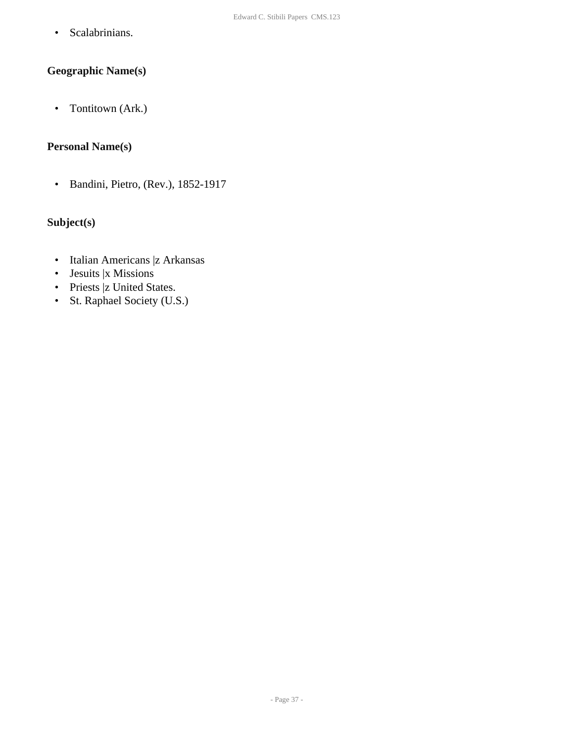• Scalabrinians.

# **Geographic Name(s)**

• Tontitown (Ark.)

# **Personal Name(s)**

• Bandini, Pietro, (Rev.), 1852-1917

# **Subject(s)**

- Italian Americans |z Arkansas
- Jesuits |x Missions
- Priests |z United States.
- St. Raphael Society (U.S.)